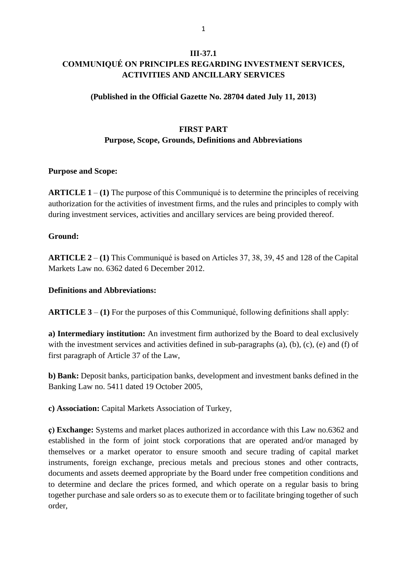## **III-37.1 COMMUNIQUÉ ON PRINCIPLES REGARDING INVESTMENT SERVICES, ACTIVITIES AND ANCILLARY SERVICES**

#### **(Published in the Official Gazette No. 28704 dated July 11, 2013)**

## **FIRST PART Purpose, Scope, Grounds, Definitions and Abbreviations**

#### **Purpose and Scope:**

**ARTICLE 1** – **(1)** The purpose of this Communiqué is to determine the principles of receiving authorization for the activities of investment firms, and the rules and principles to comply with during investment services, activities and ancillary services are being provided thereof.

#### **Ground:**

**ARTICLE 2** – **(1)** This Communiqué is based on Articles 37, 38, 39, 45 and 128 of the Capital Markets Law no. 6362 dated 6 December 2012.

#### **Definitions and Abbreviations:**

**ARTICLE 3** – **(1)** For the purposes of this Communiqué, following definitions shall apply:

**a) Intermediary institution:** An investment firm authorized by the Board to deal exclusively with the investment services and activities defined in sub-paragraphs (a), (b), (c), (e) and (f) of first paragraph of Article 37 of the Law,

**b) Bank:** Deposit banks, participation banks, development and investment banks defined in the Banking Law no. 5411 dated 19 October 2005,

**c) Association:** Capital Markets Association of Turkey,

**ç) Exchange:** Systems and market places authorized in accordance with this Law no.6362 and established in the form of joint stock corporations that are operated and/or managed by themselves or a market operator to ensure smooth and secure trading of capital market instruments, foreign exchange, precious metals and precious stones and other contracts, documents and assets deemed appropriate by the Board under free competition conditions and to determine and declare the prices formed, and which operate on a regular basis to bring together purchase and sale orders so as to execute them or to facilitate bringing together of such order,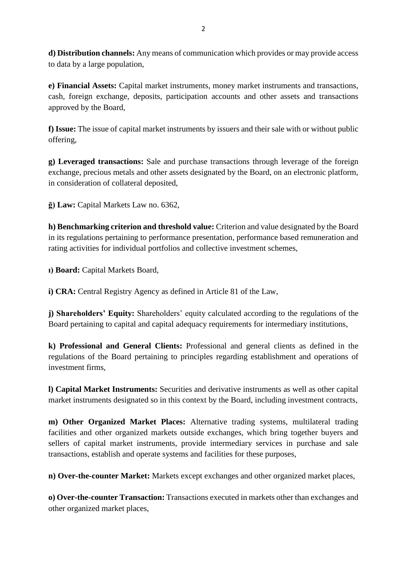**d) Distribution channels:** Any means of communication which provides or may provide access to data by a large population,

**e) Financial Assets:** Capital market instruments, money market instruments and transactions, cash, foreign exchange, deposits, participation accounts and other assets and transactions approved by the Board,

**f) Issue:** The issue of capital market instruments by issuers and their sale with or without public offering,

**g) Leveraged transactions:** Sale and purchase transactions through leverage of the foreign exchange, precious metals and other assets designated by the Board, on an electronic platform, in consideration of collateral deposited,

**ğ) Law:** Capital Markets Law no. 6362,

**h) Benchmarking criterion and threshold value:** Criterion and value designated by the Board in its regulations pertaining to performance presentation, performance based remuneration and rating activities for individual portfolios and collective investment schemes,

**ı) Board:** Capital Markets Board,

**i) CRA:** Central Registry Agency as defined in Article 81 of the Law,

**j) Shareholders' Equity:** Shareholders' equity calculated according to the regulations of the Board pertaining to capital and capital adequacy requirements for intermediary institutions,

**k) Professional and General Clients:** Professional and general clients as defined in the regulations of the Board pertaining to principles regarding establishment and operations of investment firms,

**l) Capital Market Instruments:** Securities and derivative instruments as well as other capital market instruments designated so in this context by the Board, including investment contracts,

**m) Other Organized Market Places:** Alternative trading systems, multilateral trading facilities and other organized markets outside exchanges, which bring together buyers and sellers of capital market instruments, provide intermediary services in purchase and sale transactions, establish and operate systems and facilities for these purposes,

**n) Over-the-counter Market:** Markets except exchanges and other organized market places,

**o) Over-the-counter Transaction:** Transactions executed in markets other than exchanges and other organized market places,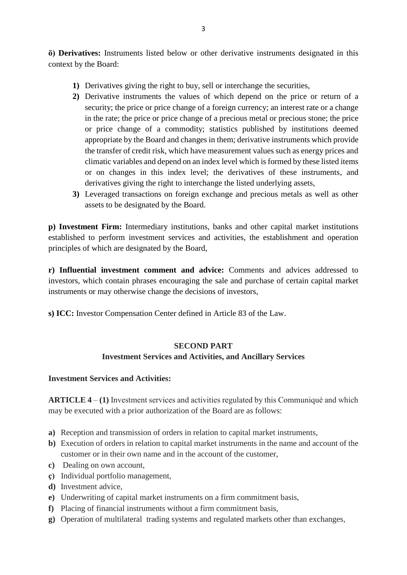**ö) Derivatives:** Instruments listed below or other derivative instruments designated in this context by the Board:

- **1)** Derivatives giving the right to buy, sell or interchange the securities,
- **2)** Derivative instruments the values of which depend on the price or return of a security; the price or price change of a foreign currency; an interest rate or a change in the rate; the price or price change of a precious metal or precious stone; the price or price change of a commodity; statistics published by institutions deemed appropriate by the Board and changes in them; derivative instruments which provide the transfer of credit risk, which have measurement values such as energy prices and climatic variables and depend on an index level which is formed by these listed items or on changes in this index level; the derivatives of these instruments, and derivatives giving the right to interchange the listed underlying assets,
- **3)** Leveraged transactions on foreign exchange and precious metals as well as other assets to be designated by the Board.

**p) Investment Firm:** Intermediary institutions, banks and other capital market institutions established to perform investment services and activities, the establishment and operation principles of which are designated by the Board,

**r) Influential investment comment and advice:** Comments and advices addressed to investors, which contain phrases encouraging the sale and purchase of certain capital market instruments or may otherwise change the decisions of investors,

**s) ICC:** Investor Compensation Center defined in Article 83 of the Law.

# **SECOND PART Investment Services and Activities, and Ancillary Services**

## **Investment Services and Activities:**

**ARTICLE 4** – **(1)** Investment services and activities regulated by this Communiqué and which may be executed with a prior authorization of the Board are as follows:

- **a)** Reception and transmission of orders in relation to capital market instruments,
- **b)** Execution of orders in relation to capital market instruments in the name and account of the customer or in their own name and in the account of the customer,
- **c)** Dealing on own account,
- **ç)** Individual portfolio management,
- **d)** Investment advice,
- **e)** Underwriting of capital market instruments on a firm commitment basis,
- **f)** Placing of financial instruments without a firm commitment basis,
- **g)** Operation of multilateral trading systems and regulated markets other than exchanges,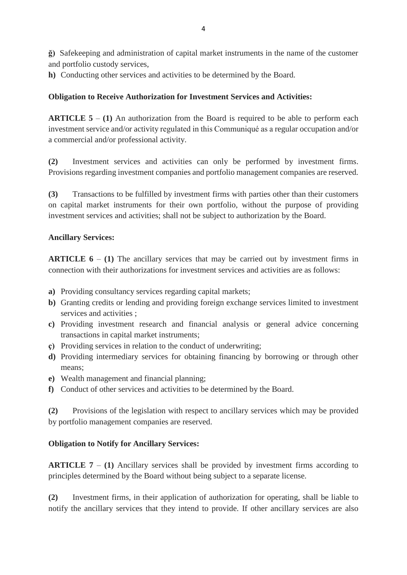**ğ)** Safekeeping and administration of capital market instruments in the name of the customer and portfolio custody services,

**h)** Conducting other services and activities to be determined by the Board.

## **Obligation to Receive Authorization for Investment Services and Activities:**

**ARTICLE 5** – **(1)** An authorization from the Board is required to be able to perform each investment service and/or activity regulated in this Communiqué as a regular occupation and/or a commercial and/or professional activity.

**(2)** Investment services and activities can only be performed by investment firms. Provisions regarding investment companies and portfolio management companies are reserved.

**(3)** Transactions to be fulfilled by investment firms with parties other than their customers on capital market instruments for their own portfolio, without the purpose of providing investment services and activities; shall not be subject to authorization by the Board.

### **Ancillary Services:**

**ARTICLE 6** – **(1)** The ancillary services that may be carried out by investment firms in connection with their authorizations for investment services and activities are as follows:

- **a)** Providing consultancy services regarding capital markets;
- **b)** Granting credits or lending and providing foreign exchange services limited to investment services and activities ;
- **c)** Providing investment research and financial analysis or general advice concerning transactions in capital market instruments;
- **ç)** Providing services in relation to the conduct of underwriting;
- **d)** Providing intermediary services for obtaining financing by borrowing or through other means;
- **e)** Wealth management and financial planning;
- **f)** Conduct of other services and activities to be determined by the Board.

**(2)** Provisions of the legislation with respect to ancillary services which may be provided by portfolio management companies are reserved.

### **Obligation to Notify for Ancillary Services:**

**ARTICLE 7** – **(1)** Ancillary services shall be provided by investment firms according to principles determined by the Board without being subject to a separate license.

**(2)** Investment firms, in their application of authorization for operating, shall be liable to notify the ancillary services that they intend to provide. If other ancillary services are also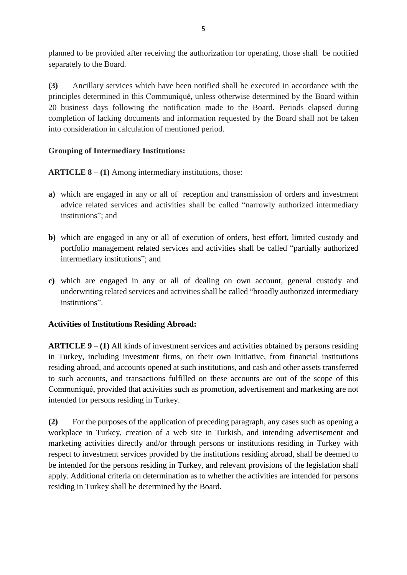planned to be provided after receiving the authorization for operating, those shall be notified separately to the Board.

**(3)** Ancillary services which have been notified shall be executed in accordance with the principles determined in this Communiqué, unless otherwise determined by the Board within 20 business days following the notification made to the Board. Periods elapsed during completion of lacking documents and information requested by the Board shall not be taken into consideration in calculation of mentioned period.

## **Grouping of Intermediary Institutions:**

**ARTICLE 8** – **(1)** Among intermediary institutions, those:

- **a)** which are engaged in any or all of reception and transmission of orders and investment advice related services and activities shall be called "narrowly authorized intermediary institutions"; and
- **b)** which are engaged in any or all of execution of orders, best effort, limited custody and portfolio management related services and activities shall be called "partially authorized intermediary institutions"; and
- **c)** which are engaged in any or all of dealing on own account, general custody and underwriting related services and activities shall be called "broadly authorized intermediary institutions".

## **Activities of Institutions Residing Abroad:**

**ARTICLE 9** – **(1)** All kinds of investment services and activities obtained by persons residing in Turkey, including investment firms, on their own initiative, from financial institutions residing abroad, and accounts opened at such institutions, and cash and other assets transferred to such accounts, and transactions fulfilled on these accounts are out of the scope of this Communiqué, provided that activities such as promotion, advertisement and marketing are not intended for persons residing in Turkey.

**(2)** For the purposes of the application of preceding paragraph, any cases such as opening a workplace in Turkey, creation of a web site in Turkish, and intending advertisement and marketing activities directly and/or through persons or institutions residing in Turkey with respect to investment services provided by the institutions residing abroad, shall be deemed to be intended for the persons residing in Turkey, and relevant provisions of the legislation shall apply. Additional criteria on determination as to whether the activities are intended for persons residing in Turkey shall be determined by the Board.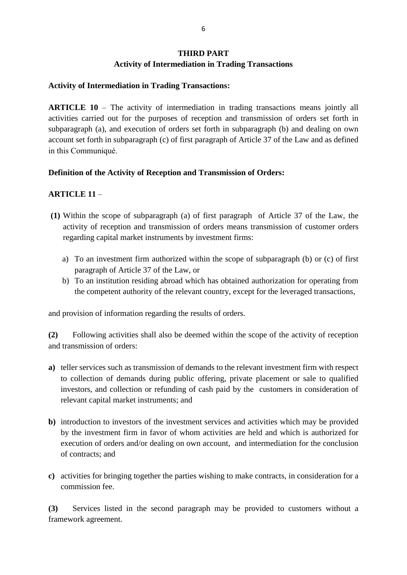## **THIRD PART**

## **Activity of Intermediation in Trading Transactions**

### **Activity of Intermediation in Trading Transactions:**

**ARTICLE 10** – The activity of intermediation in trading transactions means jointly all activities carried out for the purposes of reception and transmission of orders set forth in subparagraph (a), and execution of orders set forth in subparagraph (b) and dealing on own account set forth in subparagraph (c) of first paragraph of Article 37 of the Law and as defined in this Communiqué.

### **Definition of the Activity of Reception and Transmission of Orders:**

## **ARTICLE 11** –

- **(1)** Within the scope of subparagraph (a) of first paragraph of Article 37 of the Law, the activity of reception and transmission of orders means transmission of customer orders regarding capital market instruments by investment firms:
	- a) To an investment firm authorized within the scope of subparagraph (b) or (c) of first paragraph of Article 37 of the Law, or
	- b) To an institution residing abroad which has obtained authorization for operating from the competent authority of the relevant country, except for the leveraged transactions,

and provision of information regarding the results of orders.

**(2)** Following activities shall also be deemed within the scope of the activity of reception and transmission of orders:

- **a)** teller services such as transmission of demands to the relevant investment firm with respect to collection of demands during public offering, private placement or sale to qualified investors, and collection or refunding of cash paid by the customers in consideration of relevant capital market instruments; and
- **b)** introduction to investors of the investment services and activities which may be provided by the investment firm in favor of whom activities are held and which is authorized for execution of orders and/or dealing on own account, and intermediation for the conclusion of contracts; and
- **c)** activities for bringing together the parties wishing to make contracts, in consideration for a commission fee.

**(3)** Services listed in the second paragraph may be provided to customers without a framework agreement.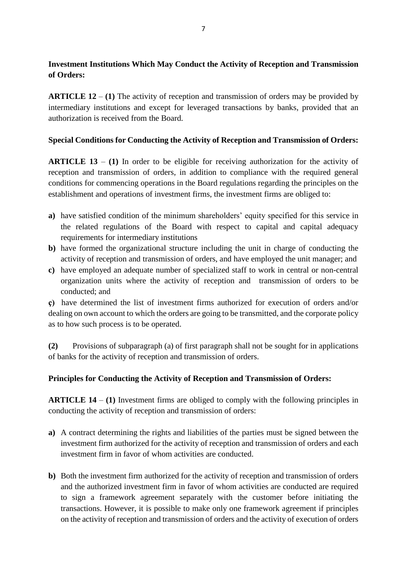## **Investment Institutions Which May Conduct the Activity of Reception and Transmission of Orders:**

**ARTICLE 12** – **(1)** The activity of reception and transmission of orders may be provided by intermediary institutions and except for leveraged transactions by banks, provided that an authorization is received from the Board.

## **Special Conditions for Conducting the Activity of Reception and Transmission of Orders:**

**ARTICLE 13** – **(1)** In order to be eligible for receiving authorization for the activity of reception and transmission of orders, in addition to compliance with the required general conditions for commencing operations in the Board regulations regarding the principles on the establishment and operations of investment firms, the investment firms are obliged to:

- **a)** have satisfied condition of the minimum shareholders' equity specified for this service in the related regulations of the Board with respect to capital and capital adequacy requirements for intermediary institutions
- **b)** have formed the organizational structure including the unit in charge of conducting the activity of reception and transmission of orders, and have employed the unit manager; and
- **c)** have employed an adequate number of specialized staff to work in central or non-central organization units where the activity of reception and transmission of orders to be conducted; and

**ç)** have determined the list of investment firms authorized for execution of orders and/or dealing on own account to which the orders are going to be transmitted, and the corporate policy as to how such process is to be operated.

**(2)** Provisions of subparagraph (a) of first paragraph shall not be sought for in applications of banks for the activity of reception and transmission of orders.

### **Principles for Conducting the Activity of Reception and Transmission of Orders:**

**ARTICLE 14** – **(1)** Investment firms are obliged to comply with the following principles in conducting the activity of reception and transmission of orders:

- **a)** A contract determining the rights and liabilities of the parties must be signed between the investment firm authorized for the activity of reception and transmission of orders and each investment firm in favor of whom activities are conducted.
- **b)** Both the investment firm authorized for the activity of reception and transmission of orders and the authorized investment firm in favor of whom activities are conducted are required to sign a framework agreement separately with the customer before initiating the transactions. However, it is possible to make only one framework agreement if principles on the activity of reception and transmission of orders and the activity of execution of orders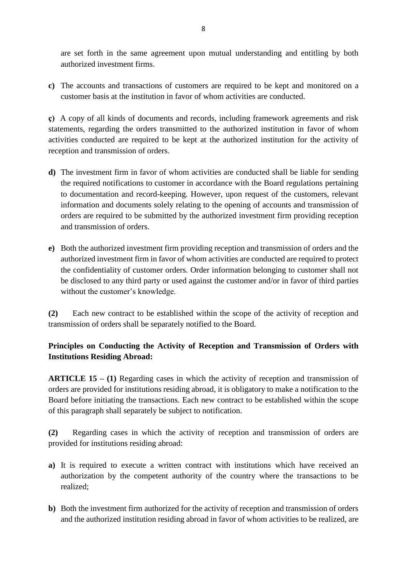are set forth in the same agreement upon mutual understanding and entitling by both authorized investment firms.

**c)** The accounts and transactions of customers are required to be kept and monitored on a customer basis at the institution in favor of whom activities are conducted.

**ç)** A copy of all kinds of documents and records, including framework agreements and risk statements, regarding the orders transmitted to the authorized institution in favor of whom activities conducted are required to be kept at the authorized institution for the activity of reception and transmission of orders.

- **d)** The investment firm in favor of whom activities are conducted shall be liable for sending the required notifications to customer in accordance with the Board regulations pertaining to documentation and record-keeping. However, upon request of the customers, relevant information and documents solely relating to the opening of accounts and transmission of orders are required to be submitted by the authorized investment firm providing reception and transmission of orders.
- **e)** Both the authorized investment firm providing reception and transmission of orders and the authorized investment firm in favor of whom activities are conducted are required to protect the confidentiality of customer orders. Order information belonging to customer shall not be disclosed to any third party or used against the customer and/or in favor of third parties without the customer's knowledge.

**(2)** Each new contract to be established within the scope of the activity of reception and transmission of orders shall be separately notified to the Board.

## **Principles on Conducting the Activity of Reception and Transmission of Orders with Institutions Residing Abroad:**

**ARTICLE 15 – (1)** Regarding cases in which the activity of reception and transmission of orders are provided for institutions residing abroad, it is obligatory to make a notification to the Board before initiating the transactions. Each new contract to be established within the scope of this paragraph shall separately be subject to notification.

**(2)** Regarding cases in which the activity of reception and transmission of orders are provided for institutions residing abroad:

- **a)** It is required to execute a written contract with institutions which have received an authorization by the competent authority of the country where the transactions to be realized;
- **b)** Both the investment firm authorized for the activity of reception and transmission of orders and the authorized institution residing abroad in favor of whom activities to be realized, are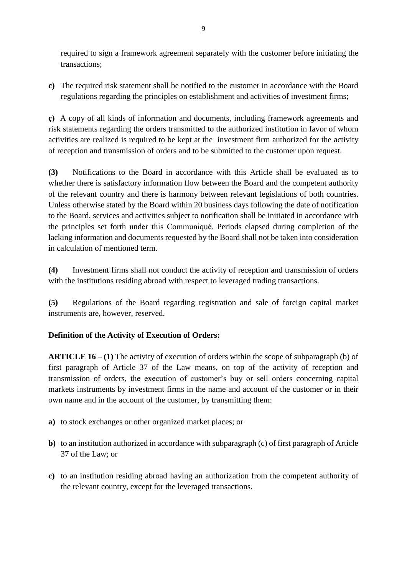required to sign a framework agreement separately with the customer before initiating the transactions;

**c)** The required risk statement shall be notified to the customer in accordance with the Board regulations regarding the principles on establishment and activities of investment firms;

**ç)** A copy of all kinds of information and documents, including framework agreements and risk statements regarding the orders transmitted to the authorized institution in favor of whom activities are realized is required to be kept at the investment firm authorized for the activity of reception and transmission of orders and to be submitted to the customer upon request.

**(3)** Notifications to the Board in accordance with this Article shall be evaluated as to whether there is satisfactory information flow between the Board and the competent authority of the relevant country and there is harmony between relevant legislations of both countries. Unless otherwise stated by the Board within 20 business days following the date of notification to the Board, services and activities subject to notification shall be initiated in accordance with the principles set forth under this Communiqué. Periods elapsed during completion of the lacking information and documents requested by the Board shall not be taken into consideration in calculation of mentioned term.

**(4)** Investment firms shall not conduct the activity of reception and transmission of orders with the institutions residing abroad with respect to leveraged trading transactions.

**(5)** Regulations of the Board regarding registration and sale of foreign capital market instruments are, however, reserved.

## **Definition of the Activity of Execution of Orders:**

**ARTICLE 16** – **(1)** The activity of execution of orders within the scope of subparagraph (b) of first paragraph of Article 37 of the Law means, on top of the activity of reception and transmission of orders, the execution of customer's buy or sell orders concerning capital markets instruments by investment firms in the name and account of the customer or in their own name and in the account of the customer, by transmitting them:

- **a)** to stock exchanges or other organized market places; or
- **b**) to an institution authorized in accordance with subparagraph (c) of first paragraph of Article 37 of the Law; or
- **c)** to an institution residing abroad having an authorization from the competent authority of the relevant country, except for the leveraged transactions.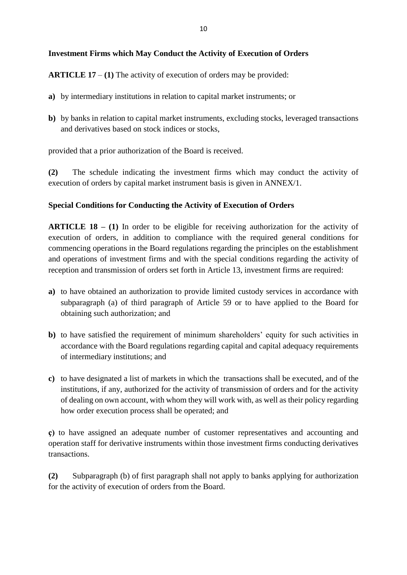### **Investment Firms which May Conduct the Activity of Execution of Orders**

**ARTICLE 17** – **(1)** The activity of execution of orders may be provided:

- **a)** by intermediary institutions in relation to capital market instruments; or
- **b)** by banks in relation to capital market instruments, excluding stocks, leveraged transactions and derivatives based on stock indices or stocks,

provided that a prior authorization of the Board is received.

**(2)** The schedule indicating the investment firms which may conduct the activity of execution of orders by capital market instrument basis is given in ANNEX/1.

### **Special Conditions for Conducting the Activity of Execution of Orders**

**ARTICLE 18 – (1)** In order to be eligible for receiving authorization for the activity of execution of orders, in addition to compliance with the required general conditions for commencing operations in the Board regulations regarding the principles on the establishment and operations of investment firms and with the special conditions regarding the activity of reception and transmission of orders set forth in Article 13, investment firms are required:

- **a)** to have obtained an authorization to provide limited custody services in accordance with subparagraph (a) of third paragraph of Article 59 or to have applied to the Board for obtaining such authorization; and
- **b**) to have satisfied the requirement of minimum shareholders' equity for such activities in accordance with the Board regulations regarding capital and capital adequacy requirements of intermediary institutions; and
- **c)** to have designated a list of markets in which the transactions shall be executed, and of the institutions, if any, authorized for the activity of transmission of orders and for the activity of dealing on own account, with whom they will work with, as well as their policy regarding how order execution process shall be operated; and

**ç)** to have assigned an adequate number of customer representatives and accounting and operation staff for derivative instruments within those investment firms conducting derivatives transactions.

**(2)** Subparagraph (b) of first paragraph shall not apply to banks applying for authorization for the activity of execution of orders from the Board.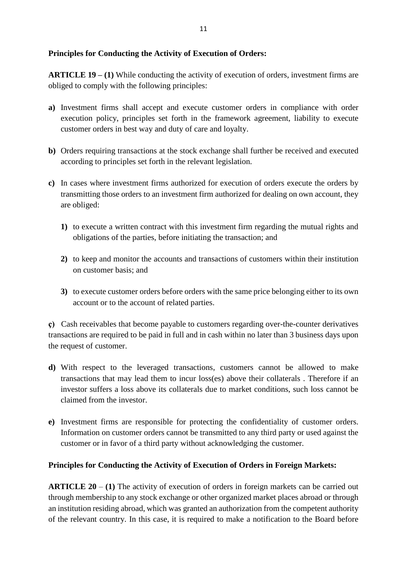### **Principles for Conducting the Activity of Execution of Orders:**

**ARTICLE 19 – (1)** While conducting the activity of execution of orders, investment firms are obliged to comply with the following principles:

- **a)** Investment firms shall accept and execute customer orders in compliance with order execution policy, principles set forth in the framework agreement, liability to execute customer orders in best way and duty of care and loyalty.
- **b)** Orders requiring transactions at the stock exchange shall further be received and executed according to principles set forth in the relevant legislation.
- **c)** In cases where investment firms authorized for execution of orders execute the orders by transmitting those orders to an investment firm authorized for dealing on own account, they are obliged:
	- **1)** to execute a written contract with this investment firm regarding the mutual rights and obligations of the parties, before initiating the transaction; and
	- **2)** to keep and monitor the accounts and transactions of customers within their institution on customer basis; and
	- **3)** to execute customer orders before orders with the same price belonging either to its own account or to the account of related parties.

**ç)** Cash receivables that become payable to customers regarding over-the-counter derivatives transactions are required to be paid in full and in cash within no later than 3 business days upon the request of customer.

- **d)** With respect to the leveraged transactions, customers cannot be allowed to make transactions that may lead them to incur loss(es) above their collaterals . Therefore if an investor suffers a loss above its collaterals due to market conditions, such loss cannot be claimed from the investor.
- **e)** Investment firms are responsible for protecting the confidentiality of customer orders. Information on customer orders cannot be transmitted to any third party or used against the customer or in favor of a third party without acknowledging the customer.

### **Principles for Conducting the Activity of Execution of Orders in Foreign Markets:**

**ARTICLE 20** – **(1)** The activity of execution of orders in foreign markets can be carried out through membership to any stock exchange or other organized market places abroad or through an institution residing abroad, which was granted an authorization from the competent authority of the relevant country. In this case, it is required to make a notification to the Board before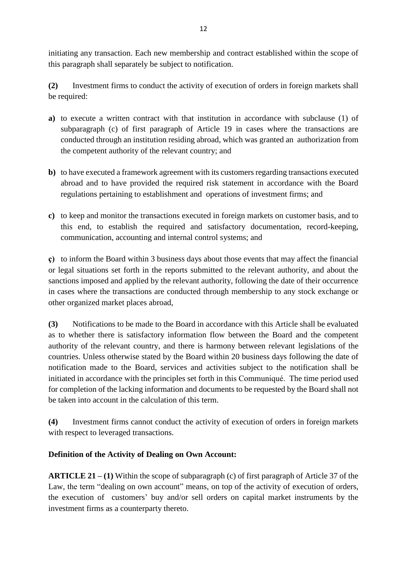initiating any transaction. Each new membership and contract established within the scope of this paragraph shall separately be subject to notification.

**(2)** Investment firms to conduct the activity of execution of orders in foreign markets shall be required:

- **a)** to execute a written contract with that institution in accordance with subclause (1) of subparagraph (c) of first paragraph of Article 19 in cases where the transactions are conducted through an institution residing abroad, which was granted an authorization from the competent authority of the relevant country; and
- **b)** to have executed a framework agreement with its customers regarding transactions executed abroad and to have provided the required risk statement in accordance with the Board regulations pertaining to establishment and operations of investment firms; and
- **c)** to keep and monitor the transactions executed in foreign markets on customer basis, and to this end, to establish the required and satisfactory documentation, record-keeping, communication, accounting and internal control systems; and

**ç)** to inform the Board within 3 business days about those events that may affect the financial or legal situations set forth in the reports submitted to the relevant authority, and about the sanctions imposed and applied by the relevant authority, following the date of their occurrence in cases where the transactions are conducted through membership to any stock exchange or other organized market places abroad,

**(3)** Notifications to be made to the Board in accordance with this Article shall be evaluated as to whether there is satisfactory information flow between the Board and the competent authority of the relevant country, and there is harmony between relevant legislations of the countries. Unless otherwise stated by the Board within 20 business days following the date of notification made to the Board, services and activities subject to the notification shall be initiated in accordance with the principles set forth in this Communiqué. The time period used for completion of the lacking information and documents to be requested by the Board shall not be taken into account in the calculation of this term.

**(4)** Investment firms cannot conduct the activity of execution of orders in foreign markets with respect to leveraged transactions.

## **Definition of the Activity of Dealing on Own Account:**

**ARTICLE 21 – (1)** Within the scope of subparagraph (c) of first paragraph of Article 37 of the Law, the term "dealing on own account" means, on top of the activity of execution of orders, the execution of customers' buy and/or sell orders on capital market instruments by the investment firms as a counterparty thereto.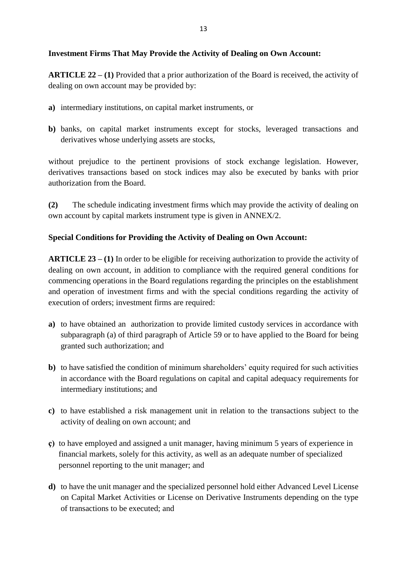#### **Investment Firms That May Provide the Activity of Dealing on Own Account:**

**ARTICLE 22 – (1)** Provided that a prior authorization of the Board is received, the activity of dealing on own account may be provided by:

- **a)** intermediary institutions, on capital market instruments, or
- **b)** banks, on capital market instruments except for stocks, leveraged transactions and derivatives whose underlying assets are stocks,

without prejudice to the pertinent provisions of stock exchange legislation. However, derivatives transactions based on stock indices may also be executed by banks with prior authorization from the Board.

**(2)** The schedule indicating investment firms which may provide the activity of dealing on own account by capital markets instrument type is given in ANNEX/2.

### **Special Conditions for Providing the Activity of Dealing on Own Account:**

**ARTICLE 23 – (1)** In order to be eligible for receiving authorization to provide the activity of dealing on own account, in addition to compliance with the required general conditions for commencing operations in the Board regulations regarding the principles on the establishment and operation of investment firms and with the special conditions regarding the activity of execution of orders; investment firms are required:

- **a)** to have obtained an authorization to provide limited custody services in accordance with subparagraph (a) of third paragraph of Article 59 or to have applied to the Board for being granted such authorization; and
- **b)** to have satisfied the condition of minimum shareholders' equity required for such activities in accordance with the Board regulations on capital and capital adequacy requirements for intermediary institutions; and
- **c)** to have established a risk management unit in relation to the transactions subject to the activity of dealing on own account; and
- **ç)** to have employed and assigned a unit manager, having minimum 5 years of experience in financial markets, solely for this activity, as well as an adequate number of specialized personnel reporting to the unit manager; and
- **d)** to have the unit manager and the specialized personnel hold either Advanced Level License on Capital Market Activities or License on Derivative Instruments depending on the type of transactions to be executed; and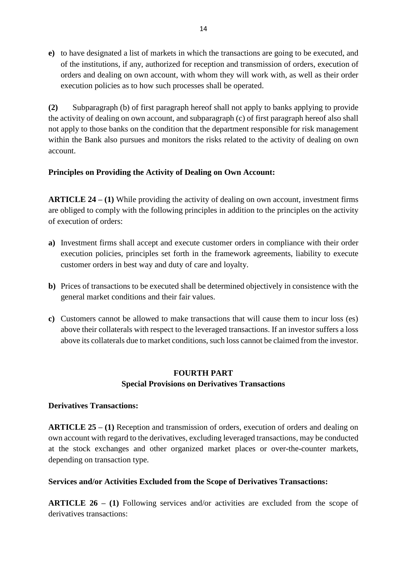**e)** to have designated a list of markets in which the transactions are going to be executed, and of the institutions, if any, authorized for reception and transmission of orders, execution of orders and dealing on own account, with whom they will work with, as well as their order execution policies as to how such processes shall be operated.

**(2)** Subparagraph (b) of first paragraph hereof shall not apply to banks applying to provide the activity of dealing on own account, and subparagraph (c) of first paragraph hereof also shall not apply to those banks on the condition that the department responsible for risk management within the Bank also pursues and monitors the risks related to the activity of dealing on own account.

### **Principles on Providing the Activity of Dealing on Own Account:**

**ARTICLE 24 – (1)** While providing the activity of dealing on own account, investment firms are obliged to comply with the following principles in addition to the principles on the activity of execution of orders:

- **a)** Investment firms shall accept and execute customer orders in compliance with their order execution policies, principles set forth in the framework agreements, liability to execute customer orders in best way and duty of care and loyalty.
- **b)** Prices of transactions to be executed shall be determined objectively in consistence with the general market conditions and their fair values.
- **c)** Customers cannot be allowed to make transactions that will cause them to incur loss (es) above their collaterals with respect to the leveraged transactions. If an investor suffers a loss above its collaterals due to market conditions, such loss cannot be claimed from the investor.

## **FOURTH PART Special Provisions on Derivatives Transactions**

### **Derivatives Transactions:**

**ARTICLE 25 – (1)** Reception and transmission of orders, execution of orders and dealing on own account with regard to the derivatives, excluding leveraged transactions, may be conducted at the stock exchanges and other organized market places or over-the-counter markets, depending on transaction type.

### **Services and/or Activities Excluded from the Scope of Derivatives Transactions:**

**ARTICLE 26 – (1)** Following services and/or activities are excluded from the scope of derivatives transactions: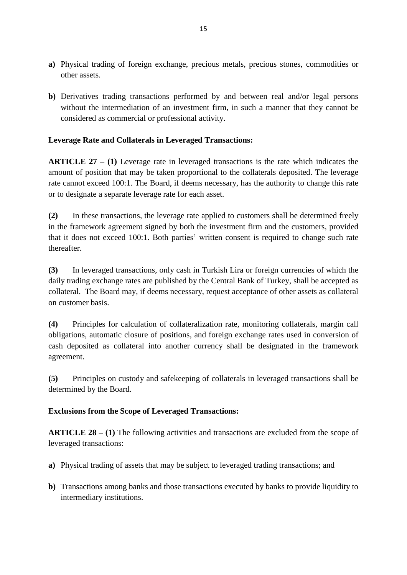- **a)** Physical trading of foreign exchange, precious metals, precious stones, commodities or other assets.
- **b)** Derivatives trading transactions performed by and between real and/or legal persons without the intermediation of an investment firm, in such a manner that they cannot be considered as commercial or professional activity.

### **Leverage Rate and Collaterals in Leveraged Transactions:**

**ARTICLE 27 – (1)** Leverage rate in leveraged transactions is the rate which indicates the amount of position that may be taken proportional to the collaterals deposited. The leverage rate cannot exceed 100:1. The Board, if deems necessary, has the authority to change this rate or to designate a separate leverage rate for each asset.

**(2)** In these transactions, the leverage rate applied to customers shall be determined freely in the framework agreement signed by both the investment firm and the customers, provided that it does not exceed 100:1. Both parties' written consent is required to change such rate thereafter.

**(3)** In leveraged transactions, only cash in Turkish Lira or foreign currencies of which the daily trading exchange rates are published by the Central Bank of Turkey, shall be accepted as collateral. The Board may, if deems necessary, request acceptance of other assets as collateral on customer basis.

**(4)** Principles for calculation of collateralization rate, monitoring collaterals, margin call obligations, automatic closure of positions, and foreign exchange rates used in conversion of cash deposited as collateral into another currency shall be designated in the framework agreement.

**(5)** Principles on custody and safekeeping of collaterals in leveraged transactions shall be determined by the Board.

### **Exclusions from the Scope of Leveraged Transactions:**

**ARTICLE 28 – (1)** The following activities and transactions are excluded from the scope of leveraged transactions:

- **a)** Physical trading of assets that may be subject to leveraged trading transactions; and
- **b)** Transactions among banks and those transactions executed by banks to provide liquidity to intermediary institutions.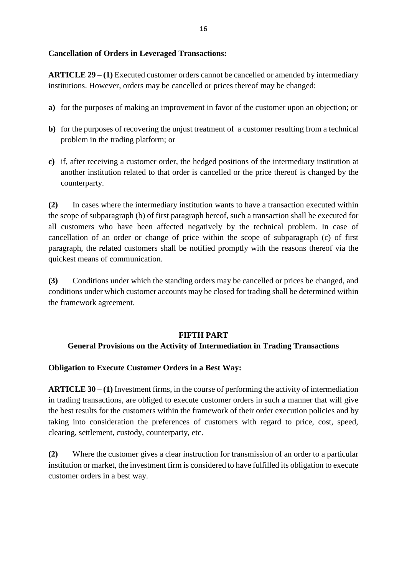#### **Cancellation of Orders in Leveraged Transactions:**

**ARTICLE 29 – (1)** Executed customer orders cannot be cancelled or amended by intermediary institutions. However, orders may be cancelled or prices thereof may be changed:

- **a)** for the purposes of making an improvement in favor of the customer upon an objection; or
- **b)** for the purposes of recovering the unjust treatment of a customer resulting from a technical problem in the trading platform; or
- **c)** if, after receiving a customer order, the hedged positions of the intermediary institution at another institution related to that order is cancelled or the price thereof is changed by the counterparty.

**(2)** In cases where the intermediary institution wants to have a transaction executed within the scope of subparagraph (b) of first paragraph hereof, such a transaction shall be executed for all customers who have been affected negatively by the technical problem. In case of cancellation of an order or change of price within the scope of subparagraph (c) of first paragraph, the related customers shall be notified promptly with the reasons thereof via the quickest means of communication.

**(3)** Conditions under which the standing orders may be cancelled or prices be changed, and conditions under which customer accounts may be closed for trading shall be determined within the framework agreement.

#### **FIFTH PART**

### **General Provisions on the Activity of Intermediation in Trading Transactions**

#### **Obligation to Execute Customer Orders in a Best Way:**

**ARTICLE 30 – (1)** Investment firms, in the course of performing the activity of intermediation in trading transactions, are obliged to execute customer orders in such a manner that will give the best results for the customers within the framework of their order execution policies and by taking into consideration the preferences of customers with regard to price, cost, speed, clearing, settlement, custody, counterparty, etc.

**(2)** Where the customer gives a clear instruction for transmission of an order to a particular institution or market, the investment firm is considered to have fulfilled its obligation to execute customer orders in a best way.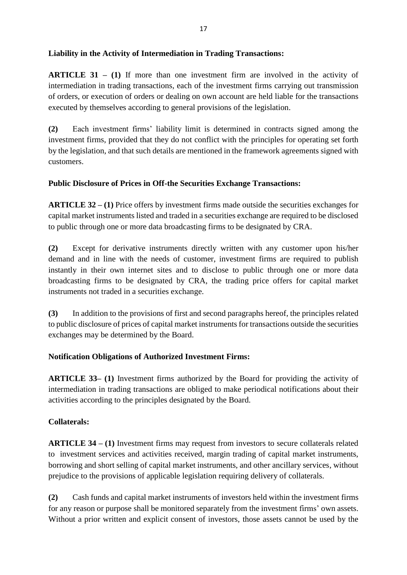## **Liability in the Activity of Intermediation in Trading Transactions:**

**ARTICLE 31 – (1)** If more than one investment firm are involved in the activity of intermediation in trading transactions, each of the investment firms carrying out transmission of orders, or execution of orders or dealing on own account are held liable for the transactions executed by themselves according to general provisions of the legislation.

**(2)** Each investment firms' liability limit is determined in contracts signed among the investment firms, provided that they do not conflict with the principles for operating set forth by the legislation, and that such details are mentioned in the framework agreements signed with customers.

### **Public Disclosure of Prices in Off-the Securities Exchange Transactions:**

**ARTICLE 32 – (1)** Price offers by investment firms made outside the securities exchanges for capital market instruments listed and traded in a securities exchange are required to be disclosed to public through one or more data broadcasting firms to be designated by CRA.

**(2)** Except for derivative instruments directly written with any customer upon his/her demand and in line with the needs of customer, investment firms are required to publish instantly in their own internet sites and to disclose to public through one or more data broadcasting firms to be designated by CRA, the trading price offers for capital market instruments not traded in a securities exchange.

**(3)** In addition to the provisions of first and second paragraphs hereof, the principles related to public disclosure of prices of capital market instruments for transactions outside the securities exchanges may be determined by the Board.

## **Notification Obligations of Authorized Investment Firms:**

**ARTICLE 33– (1)** Investment firms authorized by the Board for providing the activity of intermediation in trading transactions are obliged to make periodical notifications about their activities according to the principles designated by the Board.

### **Collaterals:**

**ARTICLE 34 – (1)** Investment firms may request from investors to secure collaterals related to investment services and activities received, margin trading of capital market instruments, borrowing and short selling of capital market instruments, and other ancillary services, without prejudice to the provisions of applicable legislation requiring delivery of collaterals.

**(2)** Cash funds and capital market instruments of investors held within the investment firms for any reason or purpose shall be monitored separately from the investment firms' own assets. Without a prior written and explicit consent of investors, those assets cannot be used by the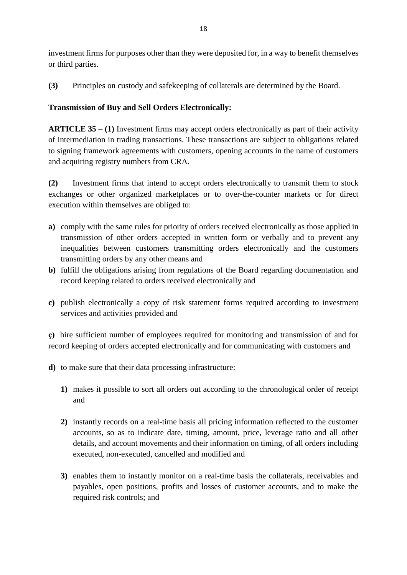investment firms for purposes other than they were deposited for, in a way to benefit themselves or third parties.

**(3)** Principles on custody and safekeeping of collaterals are determined by the Board.

## **Transmission of Buy and Sell Orders Electronically:**

**ARTICLE 35 – (1)** Investment firms may accept orders electronically as part of their activity of intermediation in trading transactions. These transactions are subject to obligations related to signing framework agreements with customers, opening accounts in the name of customers and acquiring registry numbers from CRA.

**(2)** Investment firms that intend to accept orders electronically to transmit them to stock exchanges or other organized marketplaces or to over-the-counter markets or for direct execution within themselves are obliged to:

- **a)** comply with the same rules for priority of orders received electronically as those applied in transmission of other orders accepted in written form or verbally and to prevent any inequalities between customers transmitting orders electronically and the customers transmitting orders by any other means and
- **b)** fulfill the obligations arising from regulations of the Board regarding documentation and record keeping related to orders received electronically and
- **c)** publish electronically a copy of risk statement forms required according to investment services and activities provided and

**ç)** hire sufficient number of employees required for monitoring and transmission of and for record keeping of orders accepted electronically and for communicating with customers and

- **d)** to make sure that their data processing infrastructure:
	- **1)** makes it possible to sort all orders out according to the chronological order of receipt and
	- **2)** instantly records on a real-time basis all pricing information reflected to the customer accounts, so as to indicate date, timing, amount, price, leverage ratio and all other details, and account movements and their information on timing, of all orders including executed, non-executed, cancelled and modified and
	- **3)** enables them to instantly monitor on a real-time basis the collaterals, receivables and payables, open positions, profits and losses of customer accounts, and to make the required risk controls; and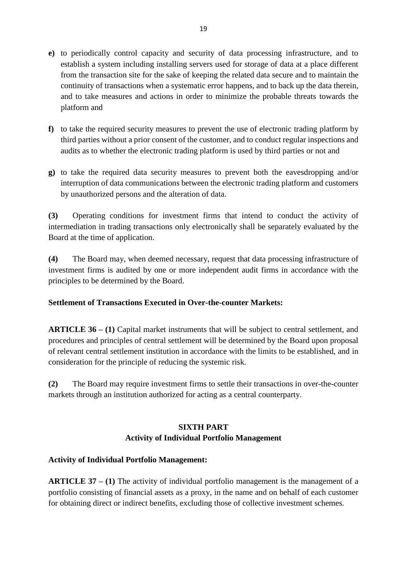- **e)** to periodically control capacity and security of data processing infrastructure, and to establish a system including installing servers used for storage of data at a place different from the transaction site for the sake of keeping the related data secure and to maintain the continuity of transactions when a systematic error happens, and to back up the data therein, and to take measures and actions in order to minimize the probable threats towards the platform and
- **f)** to take the required security measures to prevent the use of electronic trading platform by third parties without a prior consent of the customer, and to conduct regular inspections and audits as to whether the electronic trading platform is used by third parties or not and
- **g)** to take the required data security measures to prevent both the eavesdropping and/or interruption of data communications between the electronic trading platform and customers by unauthorized persons and the alteration of data.

**(3)** Operating conditions for investment firms that intend to conduct the activity of intermediation in trading transactions only electronically shall be separately evaluated by the Board at the time of application.

**(4)** The Board may, when deemed necessary, request that data processing infrastructure of investment firms is audited by one or more independent audit firms in accordance with the principles to be determined by the Board.

## **Settlement of Transactions Executed in Over-the-counter Markets:**

**ARTICLE 36 – (1)** Capital market instruments that will be subject to central settlement, and procedures and principles of central settlement will be determined by the Board upon proposal of relevant central settlement institution in accordance with the limits to be established, and in consideration for the principle of reducing the systemic risk.

**(2)** The Board may require investment firms to settle their transactions in over-the-counter markets through an institution authorized for acting as a central counterparty.

# **SIXTH PART Activity of Individual Portfolio Management**

### **Activity of Individual Portfolio Management:**

**ARTICLE 37 – (1)** The activity of individual portfolio management is the management of a portfolio consisting of financial assets as a proxy, in the name and on behalf of each customer for obtaining direct or indirect benefits, excluding those of collective investment schemes.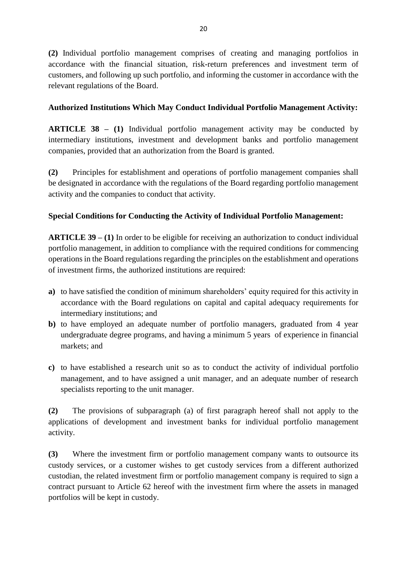**(2)** Individual portfolio management comprises of creating and managing portfolios in accordance with the financial situation, risk-return preferences and investment term of customers, and following up such portfolio, and informing the customer in accordance with the relevant regulations of the Board.

## **Authorized Institutions Which May Conduct Individual Portfolio Management Activity:**

**ARTICLE 38 – (1)** Individual portfolio management activity may be conducted by intermediary institutions, investment and development banks and portfolio management companies, provided that an authorization from the Board is granted.

**(2)** Principles for establishment and operations of portfolio management companies shall be designated in accordance with the regulations of the Board regarding portfolio management activity and the companies to conduct that activity.

## **Special Conditions for Conducting the Activity of Individual Portfolio Management:**

**ARTICLE 39 – (1)** In order to be eligible for receiving an authorization to conduct individual portfolio management, in addition to compliance with the required conditions for commencing operations in the Board regulations regarding the principles on the establishment and operations of investment firms, the authorized institutions are required:

- **a)** to have satisfied the condition of minimum shareholders' equity required for this activity in accordance with the Board regulations on capital and capital adequacy requirements for intermediary institutions; and
- **b)** to have employed an adequate number of portfolio managers, graduated from 4 year undergraduate degree programs, and having a minimum 5 years of experience in financial markets; and
- **c)** to have established a research unit so as to conduct the activity of individual portfolio management, and to have assigned a unit manager, and an adequate number of research specialists reporting to the unit manager.

**(2)** The provisions of subparagraph (a) of first paragraph hereof shall not apply to the applications of development and investment banks for individual portfolio management activity.

**(3)** Where the investment firm or portfolio management company wants to outsource its custody services, or a customer wishes to get custody services from a different authorized custodian, the related investment firm or portfolio management company is required to sign a contract pursuant to Article 62 hereof with the investment firm where the assets in managed portfolios will be kept in custody.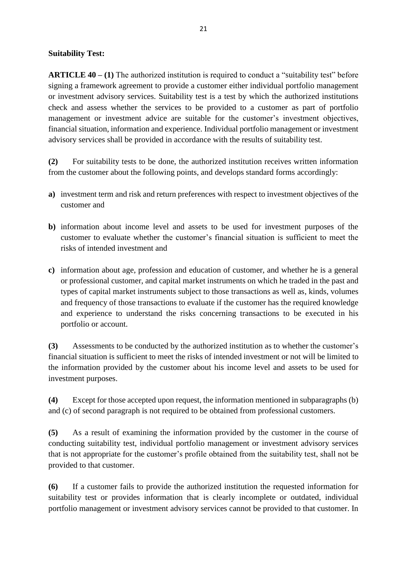#### **Suitability Test:**

**ARTICLE 40 – (1)** The authorized institution is required to conduct a "suitability test" before signing a framework agreement to provide a customer either individual portfolio management or investment advisory services. Suitability test is a test by which the authorized institutions check and assess whether the services to be provided to a customer as part of portfolio management or investment advice are suitable for the customer's investment objectives, financial situation, information and experience. Individual portfolio management or investment advisory services shall be provided in accordance with the results of suitability test.

**(2)** For suitability tests to be done, the authorized institution receives written information from the customer about the following points, and develops standard forms accordingly:

- **a)** investment term and risk and return preferences with respect to investment objectives of the customer and
- **b)** information about income level and assets to be used for investment purposes of the customer to evaluate whether the customer's financial situation is sufficient to meet the risks of intended investment and
- **c)** information about age, profession and education of customer, and whether he is a general or professional customer, and capital market instruments on which he traded in the past and types of capital market instruments subject to those transactions as well as, kinds, volumes and frequency of those transactions to evaluate if the customer has the required knowledge and experience to understand the risks concerning transactions to be executed in his portfolio or account.

**(3)** Assessments to be conducted by the authorized institution as to whether the customer's financial situation is sufficient to meet the risks of intended investment or not will be limited to the information provided by the customer about his income level and assets to be used for investment purposes.

**(4)** Except for those accepted upon request, the information mentioned in subparagraphs (b) and (c) of second paragraph is not required to be obtained from professional customers.

**(5)** As a result of examining the information provided by the customer in the course of conducting suitability test, individual portfolio management or investment advisory services that is not appropriate for the customer's profile obtained from the suitability test, shall not be provided to that customer.

**(6)** If a customer fails to provide the authorized institution the requested information for suitability test or provides information that is clearly incomplete or outdated, individual portfolio management or investment advisory services cannot be provided to that customer. In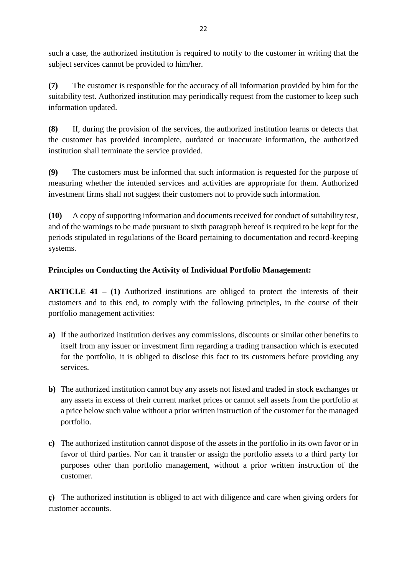such a case, the authorized institution is required to notify to the customer in writing that the subject services cannot be provided to him/her.

**(7)** The customer is responsible for the accuracy of all information provided by him for the suitability test. Authorized institution may periodically request from the customer to keep such information updated.

**(8)** If, during the provision of the services, the authorized institution learns or detects that the customer has provided incomplete, outdated or inaccurate information, the authorized institution shall terminate the service provided.

**(9)** The customers must be informed that such information is requested for the purpose of measuring whether the intended services and activities are appropriate for them. Authorized investment firms shall not suggest their customers not to provide such information.

**(10)** A copy of supporting information and documents received for conduct of suitability test, and of the warnings to be made pursuant to sixth paragraph hereof is required to be kept for the periods stipulated in regulations of the Board pertaining to documentation and record-keeping systems.

## **Principles on Conducting the Activity of Individual Portfolio Management:**

**ARTICLE 41 – (1)** Authorized institutions are obliged to protect the interests of their customers and to this end, to comply with the following principles, in the course of their portfolio management activities:

- **a)** If the authorized institution derives any commissions, discounts or similar other benefits to itself from any issuer or investment firm regarding a trading transaction which is executed for the portfolio, it is obliged to disclose this fact to its customers before providing any services.
- **b)** The authorized institution cannot buy any assets not listed and traded in stock exchanges or any assets in excess of their current market prices or cannot sell assets from the portfolio at a price below such value without a prior written instruction of the customer for the managed portfolio.
- **c)** The authorized institution cannot dispose of the assets in the portfolio in its own favor or in favor of third parties. Nor can it transfer or assign the portfolio assets to a third party for purposes other than portfolio management, without a prior written instruction of the customer.

**ç)** The authorized institution is obliged to act with diligence and care when giving orders for customer accounts.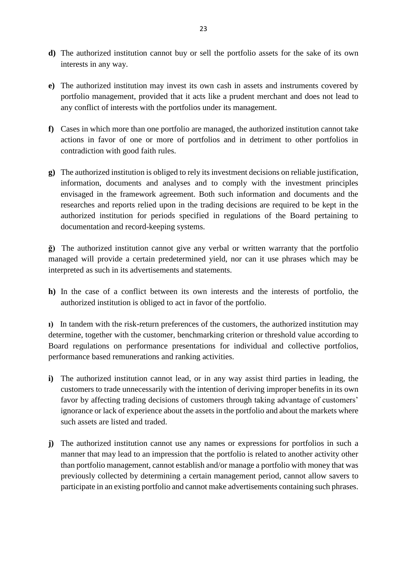- **d)** The authorized institution cannot buy or sell the portfolio assets for the sake of its own interests in any way.
- **e)** The authorized institution may invest its own cash in assets and instruments covered by portfolio management, provided that it acts like a prudent merchant and does not lead to any conflict of interests with the portfolios under its management.
- **f)** Cases in which more than one portfolio are managed, the authorized institution cannot take actions in favor of one or more of portfolios and in detriment to other portfolios in contradiction with good faith rules.
- **g)** The authorized institution is obliged to rely its investment decisions on reliable justification, information, documents and analyses and to comply with the investment principles envisaged in the framework agreement. Both such information and documents and the researches and reports relied upon in the trading decisions are required to be kept in the authorized institution for periods specified in regulations of the Board pertaining to documentation and record-keeping systems.

**ğ)** The authorized institution cannot give any verbal or written warranty that the portfolio managed will provide a certain predetermined yield, nor can it use phrases which may be interpreted as such in its advertisements and statements.

**h)** In the case of a conflict between its own interests and the interests of portfolio, the authorized institution is obliged to act in favor of the portfolio.

**ı)** In tandem with the risk-return preferences of the customers, the authorized institution may determine, together with the customer, benchmarking criterion or threshold value according to Board regulations on performance presentations for individual and collective portfolios, performance based remunerations and ranking activities.

- **i)** The authorized institution cannot lead, or in any way assist third parties in leading, the customers to trade unnecessarily with the intention of deriving improper benefits in its own favor by affecting trading decisions of customers through taking advantage of customers' ignorance or lack of experience about the assets in the portfolio and about the markets where such assets are listed and traded.
- **j)** The authorized institution cannot use any names or expressions for portfolios in such a manner that may lead to an impression that the portfolio is related to another activity other than portfolio management, cannot establish and/or manage a portfolio with money that was previously collected by determining a certain management period, cannot allow savers to participate in an existing portfolio and cannot make advertisements containing such phrases.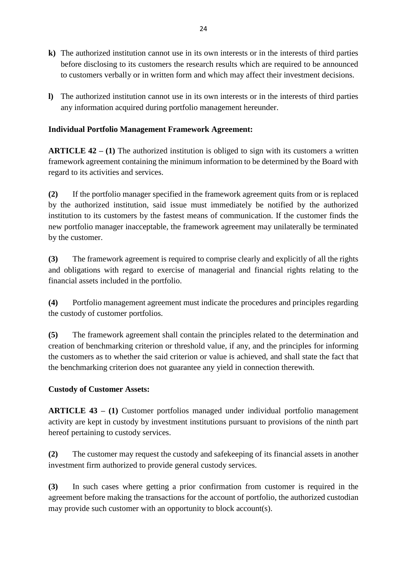- **k)** The authorized institution cannot use in its own interests or in the interests of third parties before disclosing to its customers the research results which are required to be announced to customers verbally or in written form and which may affect their investment decisions.
- **l)** The authorized institution cannot use in its own interests or in the interests of third parties any information acquired during portfolio management hereunder.

## **Individual Portfolio Management Framework Agreement:**

**ARTICLE 42 – (1)** The authorized institution is obliged to sign with its customers a written framework agreement containing the minimum information to be determined by the Board with regard to its activities and services.

**(2)** If the portfolio manager specified in the framework agreement quits from or is replaced by the authorized institution, said issue must immediately be notified by the authorized institution to its customers by the fastest means of communication. If the customer finds the new portfolio manager inacceptable, the framework agreement may unilaterally be terminated by the customer.

**(3)** The framework agreement is required to comprise clearly and explicitly of all the rights and obligations with regard to exercise of managerial and financial rights relating to the financial assets included in the portfolio.

**(4)** Portfolio management agreement must indicate the procedures and principles regarding the custody of customer portfolios.

**(5)** The framework agreement shall contain the principles related to the determination and creation of benchmarking criterion or threshold value, if any, and the principles for informing the customers as to whether the said criterion or value is achieved, and shall state the fact that the benchmarking criterion does not guarantee any yield in connection therewith.

### **Custody of Customer Assets:**

**ARTICLE 43 – (1)** Customer portfolios managed under individual portfolio management activity are kept in custody by investment institutions pursuant to provisions of the ninth part hereof pertaining to custody services.

**(2)** The customer may request the custody and safekeeping of its financial assets in another investment firm authorized to provide general custody services.

**(3)** In such cases where getting a prior confirmation from customer is required in the agreement before making the transactions for the account of portfolio, the authorized custodian may provide such customer with an opportunity to block account(s).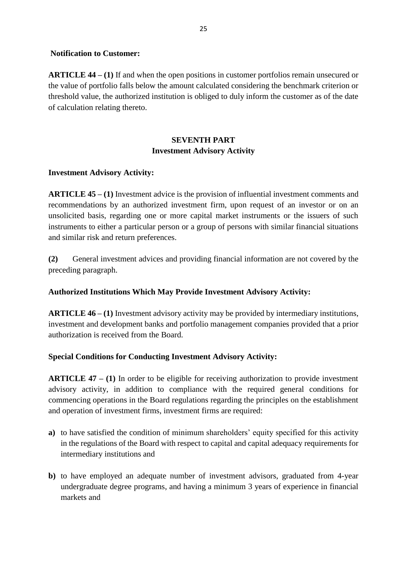#### **Notification to Customer:**

**ARTICLE 44 – (1)** If and when the open positions in customer portfolios remain unsecured or the value of portfolio falls below the amount calculated considering the benchmark criterion or threshold value, the authorized institution is obliged to duly inform the customer as of the date of calculation relating thereto.

## **SEVENTH PART Investment Advisory Activity**

#### **Investment Advisory Activity:**

**ARTICLE 45 – (1)** Investment advice is the provision of influential investment comments and recommendations by an authorized investment firm, upon request of an investor or on an unsolicited basis, regarding one or more capital market instruments or the issuers of such instruments to either a particular person or a group of persons with similar financial situations and similar risk and return preferences.

**(2)** General investment advices and providing financial information are not covered by the preceding paragraph.

### **Authorized Institutions Which May Provide Investment Advisory Activity:**

**ARTICLE 46 – (1)** Investment advisory activity may be provided by intermediary institutions, investment and development banks and portfolio management companies provided that a prior authorization is received from the Board.

### **Special Conditions for Conducting Investment Advisory Activity:**

**ARTICLE 47 – (1)** In order to be eligible for receiving authorization to provide investment advisory activity, in addition to compliance with the required general conditions for commencing operations in the Board regulations regarding the principles on the establishment and operation of investment firms, investment firms are required:

- **a)** to have satisfied the condition of minimum shareholders' equity specified for this activity in the regulations of the Board with respect to capital and capital adequacy requirements for intermediary institutions and
- **b**) to have employed an adequate number of investment advisors, graduated from 4-year undergraduate degree programs, and having a minimum 3 years of experience in financial markets and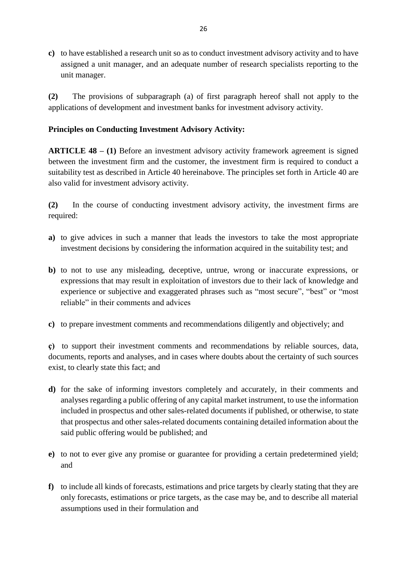**c)** to have established a research unit so as to conduct investment advisory activity and to have assigned a unit manager, and an adequate number of research specialists reporting to the unit manager.

**(2)** The provisions of subparagraph (a) of first paragraph hereof shall not apply to the applications of development and investment banks for investment advisory activity.

### **Principles on Conducting Investment Advisory Activity:**

**ARTICLE 48 – (1)** Before an investment advisory activity framework agreement is signed between the investment firm and the customer, the investment firm is required to conduct a suitability test as described in Article 40 hereinabove. The principles set forth in Article 40 are also valid for investment advisory activity.

**(2)** In the course of conducting investment advisory activity, the investment firms are required:

- **a)** to give advices in such a manner that leads the investors to take the most appropriate investment decisions by considering the information acquired in the suitability test; and
- **b)** to not to use any misleading, deceptive, untrue, wrong or inaccurate expressions, or expressions that may result in exploitation of investors due to their lack of knowledge and experience or subjective and exaggerated phrases such as "most secure", "best" or "most reliable" in their comments and advices
- **c)** to prepare investment comments and recommendations diligently and objectively; and

**ç)** to support their investment comments and recommendations by reliable sources, data, documents, reports and analyses, and in cases where doubts about the certainty of such sources exist, to clearly state this fact; and

- **d)** for the sake of informing investors completely and accurately, in their comments and analyses regarding a public offering of any capital market instrument, to use the information included in prospectus and other sales-related documents if published, or otherwise, to state that prospectus and other sales-related documents containing detailed information about the said public offering would be published; and
- **e)** to not to ever give any promise or guarantee for providing a certain predetermined yield; and
- **f)** to include all kinds of forecasts, estimations and price targets by clearly stating that they are only forecasts, estimations or price targets, as the case may be, and to describe all material assumptions used in their formulation and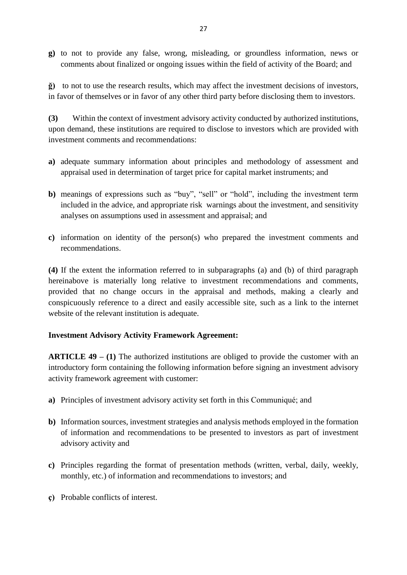**g)** to not to provide any false, wrong, misleading, or groundless information, news or comments about finalized or ongoing issues within the field of activity of the Board; and

**ğ)** to not to use the research results, which may affect the investment decisions of investors, in favor of themselves or in favor of any other third party before disclosing them to investors.

**(3)** Within the context of investment advisory activity conducted by authorized institutions, upon demand, these institutions are required to disclose to investors which are provided with investment comments and recommendations:

- **a)** adequate summary information about principles and methodology of assessment and appraisal used in determination of target price for capital market instruments; and
- **b)** meanings of expressions such as "buy", "sell" or "hold", including the investment term included in the advice, and appropriate risk warnings about the investment, and sensitivity analyses on assumptions used in assessment and appraisal; and
- **c)** information on identity of the person(s) who prepared the investment comments and recommendations.

**(4)** If the extent the information referred to in subparagraphs (a) and (b) of third paragraph hereinabove is materially long relative to investment recommendations and comments, provided that no change occurs in the appraisal and methods, making a clearly and conspicuously reference to a direct and easily accessible site, such as a link to the internet website of the relevant institution is adequate.

### **Investment Advisory Activity Framework Agreement:**

**ARTICLE 49 – (1)** The authorized institutions are obliged to provide the customer with an introductory form containing the following information before signing an investment advisory activity framework agreement with customer:

- **a)** Principles of investment advisory activity set forth in this Communiqué; and
- **b)** Information sources, investment strategies and analysis methods employed in the formation of information and recommendations to be presented to investors as part of investment advisory activity and
- **c)** Principles regarding the format of presentation methods (written, verbal, daily, weekly, monthly, etc.) of information and recommendations to investors; and
- **ç)** Probable conflicts of interest.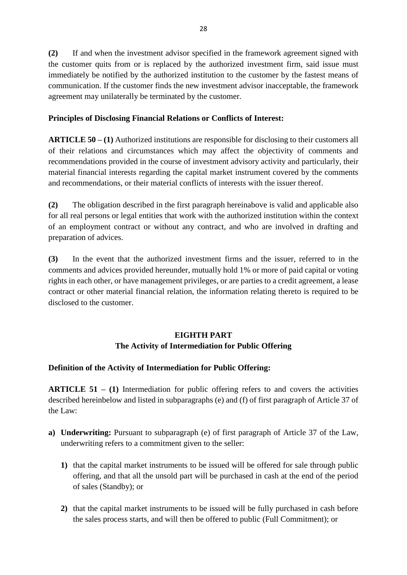**(2)** If and when the investment advisor specified in the framework agreement signed with the customer quits from or is replaced by the authorized investment firm, said issue must immediately be notified by the authorized institution to the customer by the fastest means of communication. If the customer finds the new investment advisor inacceptable, the framework agreement may unilaterally be terminated by the customer.

## **Principles of Disclosing Financial Relations or Conflicts of Interest:**

**ARTICLE 50 – (1)** Authorized institutions are responsible for disclosing to their customers all of their relations and circumstances which may affect the objectivity of comments and recommendations provided in the course of investment advisory activity and particularly, their material financial interests regarding the capital market instrument covered by the comments and recommendations, or their material conflicts of interests with the issuer thereof.

**(2)** The obligation described in the first paragraph hereinabove is valid and applicable also for all real persons or legal entities that work with the authorized institution within the context of an employment contract or without any contract, and who are involved in drafting and preparation of advices.

**(3)** In the event that the authorized investment firms and the issuer, referred to in the comments and advices provided hereunder, mutually hold 1% or more of paid capital or voting rights in each other, or have management privileges, or are parties to a credit agreement, a lease contract or other material financial relation, the information relating thereto is required to be disclosed to the customer.

# **EIGHTH PART The Activity of Intermediation for Public Offering**

## **Definition of the Activity of Intermediation for Public Offering:**

**ARTICLE 51 – (1)** Intermediation for public offering refers to and covers the activities described hereinbelow and listed in subparagraphs (e) and (f) of first paragraph of Article 37 of the Law:

- **a) Underwriting:** Pursuant to subparagraph (e) of first paragraph of Article 37 of the Law, underwriting refers to a commitment given to the seller:
	- **1)** that the capital market instruments to be issued will be offered for sale through public offering, and that all the unsold part will be purchased in cash at the end of the period of sales (Standby); or
	- **2)** that the capital market instruments to be issued will be fully purchased in cash before the sales process starts, and will then be offered to public (Full Commitment); or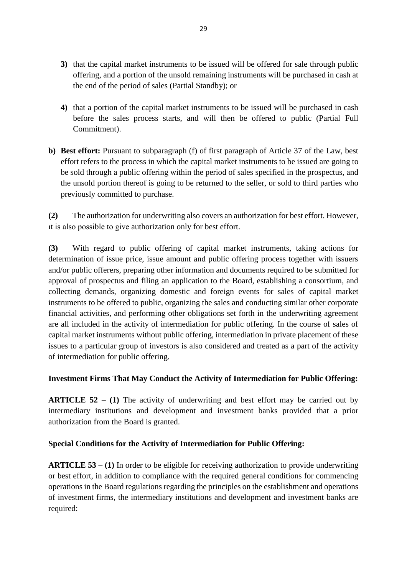- **3)** that the capital market instruments to be issued will be offered for sale through public offering, and a portion of the unsold remaining instruments will be purchased in cash at the end of the period of sales (Partial Standby); or
- **4)** that a portion of the capital market instruments to be issued will be purchased in cash before the sales process starts, and will then be offered to public (Partial Full Commitment).
- **b) Best effort:** Pursuant to subparagraph (f) of first paragraph of Article 37 of the Law, best effort refers to the process in which the capital market instruments to be issued are going to be sold through a public offering within the period of sales specified in the prospectus, and the unsold portion thereof is going to be returned to the seller, or sold to third parties who previously committed to purchase.

**(2)** The authorization for underwriting also covers an authorization for best effort. However, ıt is also possible to give authorization only for best effort.

**(3)** With regard to public offering of capital market instruments, taking actions for determination of issue price, issue amount and public offering process together with issuers and/or public offerers, preparing other information and documents required to be submitted for approval of prospectus and filing an application to the Board, establishing a consortium, and collecting demands, organizing domestic and foreign events for sales of capital market instruments to be offered to public, organizing the sales and conducting similar other corporate financial activities, and performing other obligations set forth in the underwriting agreement are all included in the activity of intermediation for public offering. In the course of sales of capital market instruments without public offering, intermediation in private placement of these issues to a particular group of investors is also considered and treated as a part of the activity of intermediation for public offering.

## **Investment Firms That May Conduct the Activity of Intermediation for Public Offering:**

**ARTICLE 52 – (1)** The activity of underwriting and best effort may be carried out by intermediary institutions and development and investment banks provided that a prior authorization from the Board is granted.

## **Special Conditions for the Activity of Intermediation for Public Offering:**

**ARTICLE 53 – (1)** In order to be eligible for receiving authorization to provide underwriting or best effort, in addition to compliance with the required general conditions for commencing operations in the Board regulations regarding the principles on the establishment and operations of investment firms, the intermediary institutions and development and investment banks are required: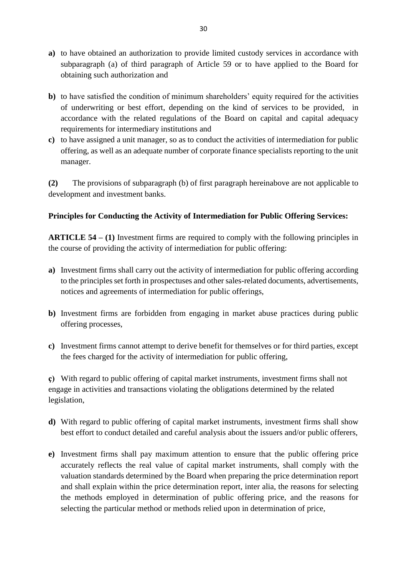- **a)** to have obtained an authorization to provide limited custody services in accordance with subparagraph (a) of third paragraph of Article 59 or to have applied to the Board for obtaining such authorization and
- **b)** to have satisfied the condition of minimum shareholders' equity required for the activities of underwriting or best effort, depending on the kind of services to be provided, in accordance with the related regulations of the Board on capital and capital adequacy requirements for intermediary institutions and
- **c)** to have assigned a unit manager, so as to conduct the activities of intermediation for public offering, as well as an adequate number of corporate finance specialists reporting to the unit manager.

**(2)** The provisions of subparagraph (b) of first paragraph hereinabove are not applicable to development and investment banks.

### **Principles for Conducting the Activity of Intermediation for Public Offering Services:**

**ARTICLE 54 – (1)** Investment firms are required to comply with the following principles in the course of providing the activity of intermediation for public offering:

- **a)** Investment firms shall carry out the activity of intermediation for public offering according to the principles set forth in prospectuses and other sales-related documents, advertisements, notices and agreements of intermediation for public offerings,
- **b)** Investment firms are forbidden from engaging in market abuse practices during public offering processes,
- **c)** Investment firms cannot attempt to derive benefit for themselves or for third parties, except the fees charged for the activity of intermediation for public offering,

**ç)** With regard to public offering of capital market instruments, investment firms shall not engage in activities and transactions violating the obligations determined by the related legislation,

- **d)** With regard to public offering of capital market instruments, investment firms shall show best effort to conduct detailed and careful analysis about the issuers and/or public offerers,
- **e)** Investment firms shall pay maximum attention to ensure that the public offering price accurately reflects the real value of capital market instruments, shall comply with the valuation standards determined by the Board when preparing the price determination report and shall explain within the price determination report, inter alia, the reasons for selecting the methods employed in determination of public offering price, and the reasons for selecting the particular method or methods relied upon in determination of price,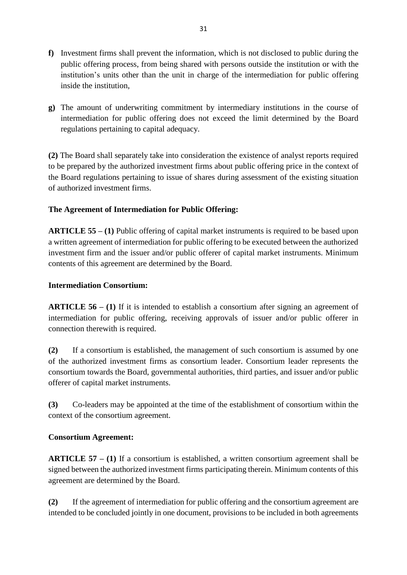- **f)** Investment firms shall prevent the information, which is not disclosed to public during the public offering process, from being shared with persons outside the institution or with the institution's units other than the unit in charge of the intermediation for public offering inside the institution,
- **g)** The amount of underwriting commitment by intermediary institutions in the course of intermediation for public offering does not exceed the limit determined by the Board regulations pertaining to capital adequacy.

**(2)** The Board shall separately take into consideration the existence of analyst reports required to be prepared by the authorized investment firms about public offering price in the context of the Board regulations pertaining to issue of shares during assessment of the existing situation of authorized investment firms.

## **The Agreement of Intermediation for Public Offering:**

**ARTICLE 55 – (1)** Public offering of capital market instruments is required to be based upon a written agreement of intermediation for public offering to be executed between the authorized investment firm and the issuer and/or public offerer of capital market instruments. Minimum contents of this agreement are determined by the Board.

## **Intermediation Consortium:**

**ARTICLE 56 – (1)** If it is intended to establish a consortium after signing an agreement of intermediation for public offering, receiving approvals of issuer and/or public offerer in connection therewith is required.

**(2)** If a consortium is established, the management of such consortium is assumed by one of the authorized investment firms as consortium leader. Consortium leader represents the consortium towards the Board, governmental authorities, third parties, and issuer and/or public offerer of capital market instruments.

**(3)** Co-leaders may be appointed at the time of the establishment of consortium within the context of the consortium agreement.

## **Consortium Agreement:**

**ARTICLE 57 – (1)** If a consortium is established, a written consortium agreement shall be signed between the authorized investment firms participating therein. Minimum contents of this agreement are determined by the Board.

**(2)** If the agreement of intermediation for public offering and the consortium agreement are intended to be concluded jointly in one document, provisions to be included in both agreements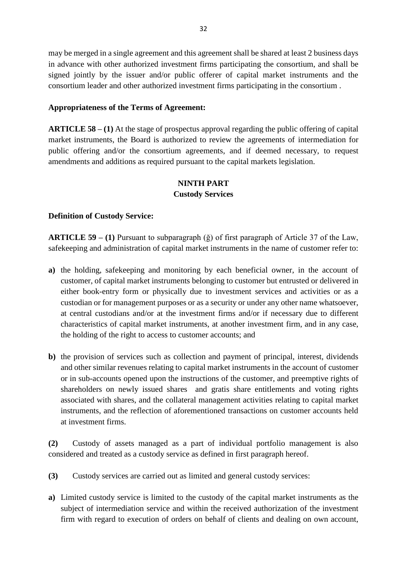may be merged in a single agreement and this agreement shall be shared at least 2 business days in advance with other authorized investment firms participating the consortium, and shall be signed jointly by the issuer and/or public offerer of capital market instruments and the consortium leader and other authorized investment firms participating in the consortium .

#### **Appropriateness of the Terms of Agreement:**

**ARTICLE 58 – (1)** At the stage of prospectus approval regarding the public offering of capital market instruments, the Board is authorized to review the agreements of intermediation for public offering and/or the consortium agreements, and if deemed necessary, to request amendments and additions as required pursuant to the capital markets legislation.

## **NINTH PART Custody Services**

#### **Definition of Custody Service:**

**ARTICLE 59 – (1)** Pursuant to subparagraph (ğ) of first paragraph of Article 37 of the Law, safekeeping and administration of capital market instruments in the name of customer refer to:

- **a)** the holding, safekeeping and monitoring by each beneficial owner, in the account of customer, of capital market instruments belonging to customer but entrusted or delivered in either book-entry form or physically due to investment services and activities or as a custodian or for management purposes or as a security or under any other name whatsoever, at central custodians and/or at the investment firms and/or if necessary due to different characteristics of capital market instruments, at another investment firm, and in any case, the holding of the right to access to customer accounts; and
- **b)** the provision of services such as collection and payment of principal, interest, dividends and other similar revenues relating to capital market instruments in the account of customer or in sub-accounts opened upon the instructions of the customer, and preemptive rights of shareholders on newly issued shares and gratis share entitlements and voting rights associated with shares, and the collateral management activities relating to capital market instruments, and the reflection of aforementioned transactions on customer accounts held at investment firms.

**(2)** Custody of assets managed as a part of individual portfolio management is also considered and treated as a custody service as defined in first paragraph hereof.

- **(3)** Custody services are carried out as limited and general custody services:
- **a)** Limited custody service is limited to the custody of the capital market instruments as the subject of intermediation service and within the received authorization of the investment firm with regard to execution of orders on behalf of clients and dealing on own account,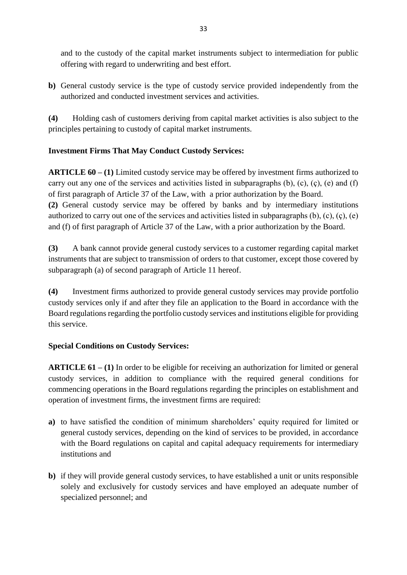and to the custody of the capital market instruments subject to intermediation for public offering with regard to underwriting and best effort.

**b)** General custody service is the type of custody service provided independently from the authorized and conducted investment services and activities.

**(4)** Holding cash of customers deriving from capital market activities is also subject to the principles pertaining to custody of capital market instruments.

## **Investment Firms That May Conduct Custody Services:**

**ARTICLE 60 – (1)** Limited custody service may be offered by investment firms authorized to carry out any one of the services and activities listed in subparagraphs  $(b)$ ,  $(c)$ ,  $(c)$ ,  $(e)$  and  $(f)$ of first paragraph of Article 37 of the Law, with a prior authorization by the Board. **(2)** General custody service may be offered by banks and by intermediary institutions authorized to carry out one of the services and activities listed in subparagraphs  $(b)$ ,  $(c)$ ,  $(c)$ ,  $(e)$ and (f) of first paragraph of Article 37 of the Law, with a prior authorization by the Board.

**(3)** A bank cannot provide general custody services to a customer regarding capital market instruments that are subject to transmission of orders to that customer, except those covered by subparagraph (a) of second paragraph of Article 11 hereof.

**(4)** Investment firms authorized to provide general custody services may provide portfolio custody services only if and after they file an application to the Board in accordance with the Board regulations regarding the portfolio custody services and institutions eligible for providing this service.

# **Special Conditions on Custody Services:**

**ARTICLE 61 – (1)** In order to be eligible for receiving an authorization for limited or general custody services, in addition to compliance with the required general conditions for commencing operations in the Board regulations regarding the principles on establishment and operation of investment firms, the investment firms are required:

- **a)** to have satisfied the condition of minimum shareholders' equity required for limited or general custody services, depending on the kind of services to be provided, in accordance with the Board regulations on capital and capital adequacy requirements for intermediary institutions and
- **b**) if they will provide general custody services, to have established a unit or units responsible solely and exclusively for custody services and have employed an adequate number of specialized personnel; and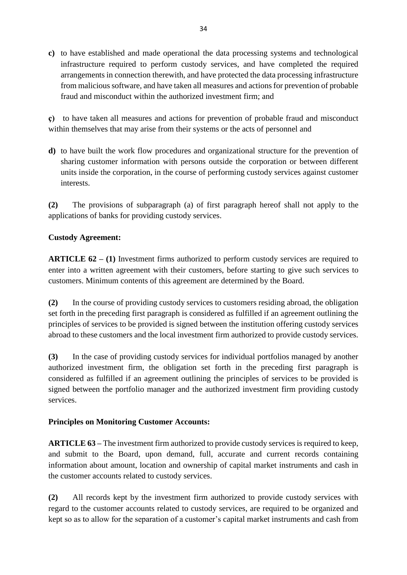**c)** to have established and made operational the data processing systems and technological infrastructure required to perform custody services, and have completed the required arrangements in connection therewith, and have protected the data processing infrastructure from malicious software, and have taken all measures and actions for prevention of probable fraud and misconduct within the authorized investment firm; and

**ç)** to have taken all measures and actions for prevention of probable fraud and misconduct within themselves that may arise from their systems or the acts of personnel and

**d)** to have built the work flow procedures and organizational structure for the prevention of sharing customer information with persons outside the corporation or between different units inside the corporation, in the course of performing custody services against customer interests.

**(2)** The provisions of subparagraph (a) of first paragraph hereof shall not apply to the applications of banks for providing custody services.

# **Custody Agreement:**

**ARTICLE 62 – (1)** Investment firms authorized to perform custody services are required to enter into a written agreement with their customers, before starting to give such services to customers. Minimum contents of this agreement are determined by the Board.

**(2)** In the course of providing custody services to customers residing abroad, the obligation set forth in the preceding first paragraph is considered as fulfilled if an agreement outlining the principles of services to be provided is signed between the institution offering custody services abroad to these customers and the local investment firm authorized to provide custody services.

**(3)** In the case of providing custody services for individual portfolios managed by another authorized investment firm, the obligation set forth in the preceding first paragraph is considered as fulfilled if an agreement outlining the principles of services to be provided is signed between the portfolio manager and the authorized investment firm providing custody services.

## **Principles on Monitoring Customer Accounts:**

**ARTICLE 63 –** The investment firm authorized to provide custody services is required to keep, and submit to the Board, upon demand, full, accurate and current records containing information about amount, location and ownership of capital market instruments and cash in the customer accounts related to custody services.

**(2)** All records kept by the investment firm authorized to provide custody services with regard to the customer accounts related to custody services, are required to be organized and kept so as to allow for the separation of a customer's capital market instruments and cash from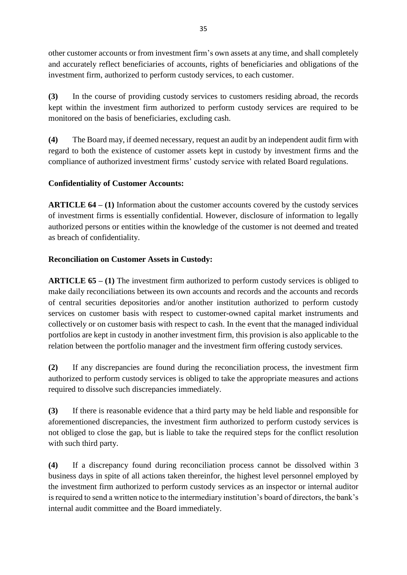other customer accounts or from investment firm's own assets at any time, and shall completely and accurately reflect beneficiaries of accounts, rights of beneficiaries and obligations of the investment firm, authorized to perform custody services, to each customer.

**(3)** In the course of providing custody services to customers residing abroad, the records kept within the investment firm authorized to perform custody services are required to be monitored on the basis of beneficiaries, excluding cash.

**(4)** The Board may, if deemed necessary, request an audit by an independent audit firm with regard to both the existence of customer assets kept in custody by investment firms and the compliance of authorized investment firms' custody service with related Board regulations.

## **Confidentiality of Customer Accounts:**

**ARTICLE 64 – (1)** Information about the customer accounts covered by the custody services of investment firms is essentially confidential. However, disclosure of information to legally authorized persons or entities within the knowledge of the customer is not deemed and treated as breach of confidentiality.

### **Reconciliation on Customer Assets in Custody:**

**ARTICLE 65 – (1)** The investment firm authorized to perform custody services is obliged to make daily reconciliations between its own accounts and records and the accounts and records of central securities depositories and/or another institution authorized to perform custody services on customer basis with respect to customer-owned capital market instruments and collectively or on customer basis with respect to cash. In the event that the managed individual portfolios are kept in custody in another investment firm, this provision is also applicable to the relation between the portfolio manager and the investment firm offering custody services.

**(2)** If any discrepancies are found during the reconciliation process, the investment firm authorized to perform custody services is obliged to take the appropriate measures and actions required to dissolve such discrepancies immediately.

**(3)** If there is reasonable evidence that a third party may be held liable and responsible for aforementioned discrepancies, the investment firm authorized to perform custody services is not obliged to close the gap, but is liable to take the required steps for the conflict resolution with such third party.

**(4)** If a discrepancy found during reconciliation process cannot be dissolved within 3 business days in spite of all actions taken thereinfor, the highest level personnel employed by the investment firm authorized to perform custody services as an inspector or internal auditor is required to send a written notice to the intermediary institution's board of directors, the bank's internal audit committee and the Board immediately.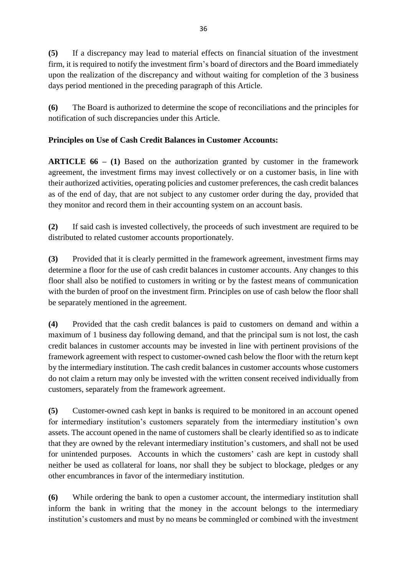**(5)** If a discrepancy may lead to material effects on financial situation of the investment firm, it is required to notify the investment firm's board of directors and the Board immediately upon the realization of the discrepancy and without waiting for completion of the 3 business days period mentioned in the preceding paragraph of this Article.

**(6)** The Board is authorized to determine the scope of reconciliations and the principles for notification of such discrepancies under this Article.

# **Principles on Use of Cash Credit Balances in Customer Accounts:**

**ARTICLE 66 – (1)** Based on the authorization granted by customer in the framework agreement, the investment firms may invest collectively or on a customer basis, in line with their authorized activities, operating policies and customer preferences, the cash credit balances as of the end of day, that are not subject to any customer order during the day, provided that they monitor and record them in their accounting system on an account basis.

**(2)** If said cash is invested collectively, the proceeds of such investment are required to be distributed to related customer accounts proportionately.

**(3)** Provided that it is clearly permitted in the framework agreement, investment firms may determine a floor for the use of cash credit balances in customer accounts. Any changes to this floor shall also be notified to customers in writing or by the fastest means of communication with the burden of proof on the investment firm. Principles on use of cash below the floor shall be separately mentioned in the agreement.

**(4)** Provided that the cash credit balances is paid to customers on demand and within a maximum of 1 business day following demand, and that the principal sum is not lost, the cash credit balances in customer accounts may be invested in line with pertinent provisions of the framework agreement with respect to customer-owned cash below the floor with the return kept by the intermediary institution. The cash credit balances in customer accounts whose customers do not claim a return may only be invested with the written consent received individually from customers, separately from the framework agreement.

**(5)** Customer-owned cash kept in banks is required to be monitored in an account opened for intermediary institution's customers separately from the intermediary institution's own assets. The account opened in the name of customers shall be clearly identified so as to indicate that they are owned by the relevant intermediary institution's customers, and shall not be used for unintended purposes. Accounts in which the customers' cash are kept in custody shall neither be used as collateral for loans, nor shall they be subject to blockage, pledges or any other encumbrances in favor of the intermediary institution.

**(6)** While ordering the bank to open a customer account, the intermediary institution shall inform the bank in writing that the money in the account belongs to the intermediary institution's customers and must by no means be commingled or combined with the investment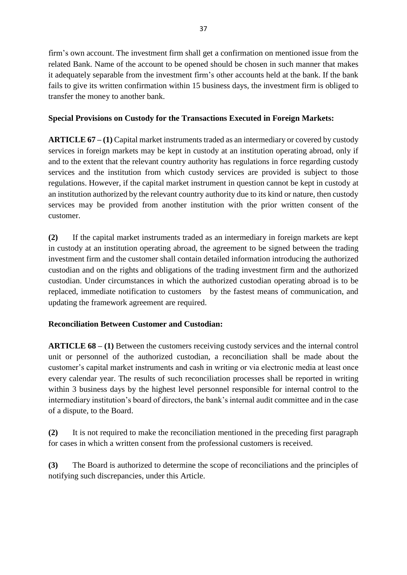firm's own account. The investment firm shall get a confirmation on mentioned issue from the related Bank. Name of the account to be opened should be chosen in such manner that makes it adequately separable from the investment firm's other accounts held at the bank. If the bank fails to give its written confirmation within 15 business days, the investment firm is obliged to transfer the money to another bank.

## **Special Provisions on Custody for the Transactions Executed in Foreign Markets:**

**ARTICLE 67 – (1)** Capital market instruments traded as an intermediary or covered by custody services in foreign markets may be kept in custody at an institution operating abroad, only if and to the extent that the relevant country authority has regulations in force regarding custody services and the institution from which custody services are provided is subject to those regulations. However, if the capital market instrument in question cannot be kept in custody at an institution authorized by the relevant country authority due to its kind or nature, then custody services may be provided from another institution with the prior written consent of the customer.

**(2)** If the capital market instruments traded as an intermediary in foreign markets are kept in custody at an institution operating abroad, the agreement to be signed between the trading investment firm and the customer shall contain detailed information introducing the authorized custodian and on the rights and obligations of the trading investment firm and the authorized custodian. Under circumstances in which the authorized custodian operating abroad is to be replaced, immediate notification to customers by the fastest means of communication, and updating the framework agreement are required.

## **Reconciliation Between Customer and Custodian:**

**ARTICLE 68 – (1)** Between the customers receiving custody services and the internal control unit or personnel of the authorized custodian, a reconciliation shall be made about the customer's capital market instruments and cash in writing or via electronic media at least once every calendar year. The results of such reconciliation processes shall be reported in writing within 3 business days by the highest level personnel responsible for internal control to the intermediary institution's board of directors, the bank's internal audit committee and in the case of a dispute, to the Board.

**(2)** It is not required to make the reconciliation mentioned in the preceding first paragraph for cases in which a written consent from the professional customers is received.

**(3)** The Board is authorized to determine the scope of reconciliations and the principles of notifying such discrepancies, under this Article.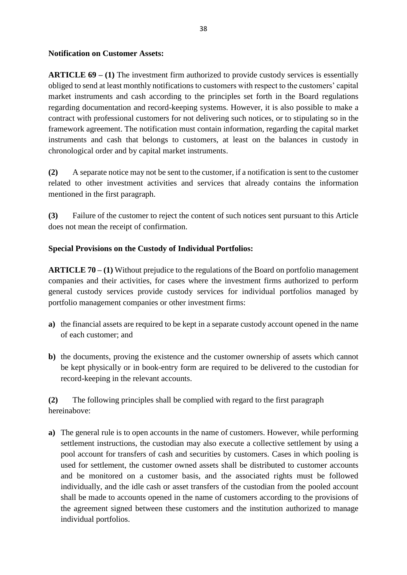#### **Notification on Customer Assets:**

**ARTICLE 69 – (1)** The investment firm authorized to provide custody services is essentially obliged to send at least monthly notifications to customers with respect to the customers' capital market instruments and cash according to the principles set forth in the Board regulations regarding documentation and record-keeping systems. However, it is also possible to make a contract with professional customers for not delivering such notices, or to stipulating so in the framework agreement. The notification must contain information, regarding the capital market instruments and cash that belongs to customers, at least on the balances in custody in chronological order and by capital market instruments.

**(2)** A separate notice may not be sent to the customer, if a notification is sent to the customer related to other investment activities and services that already contains the information mentioned in the first paragraph.

**(3)** Failure of the customer to reject the content of such notices sent pursuant to this Article does not mean the receipt of confirmation.

### **Special Provisions on the Custody of Individual Portfolios:**

**ARTICLE 70 – (1)** Without prejudice to the regulations of the Board on portfolio management companies and their activities, for cases where the investment firms authorized to perform general custody services provide custody services for individual portfolios managed by portfolio management companies or other investment firms:

- **a)** the financial assets are required to be kept in a separate custody account opened in the name of each customer; and
- **b)** the documents, proving the existence and the customer ownership of assets which cannot be kept physically or in book-entry form are required to be delivered to the custodian for record-keeping in the relevant accounts.

**(2)** The following principles shall be complied with regard to the first paragraph hereinabove:

**a)** The general rule is to open accounts in the name of customers. However, while performing settlement instructions, the custodian may also execute a collective settlement by using a pool account for transfers of cash and securities by customers. Cases in which pooling is used for settlement, the customer owned assets shall be distributed to customer accounts and be monitored on a customer basis, and the associated rights must be followed individually, and the idle cash or asset transfers of the custodian from the pooled account shall be made to accounts opened in the name of customers according to the provisions of the agreement signed between these customers and the institution authorized to manage individual portfolios.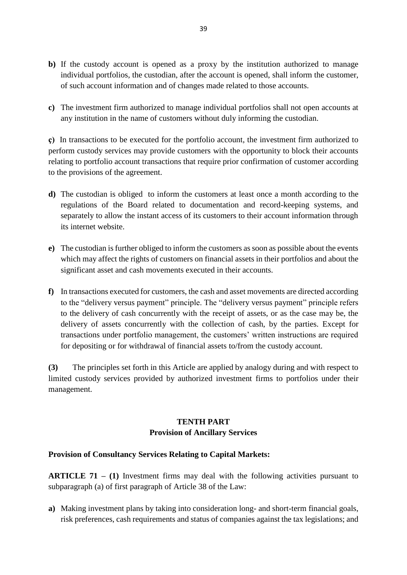- **b**) If the custody account is opened as a proxy by the institution authorized to manage individual portfolios, the custodian, after the account is opened, shall inform the customer, of such account information and of changes made related to those accounts.
- **c)** The investment firm authorized to manage individual portfolios shall not open accounts at any institution in the name of customers without duly informing the custodian.

**ç)** In transactions to be executed for the portfolio account, the investment firm authorized to perform custody services may provide customers with the opportunity to block their accounts relating to portfolio account transactions that require prior confirmation of customer according to the provisions of the agreement.

- **d)** The custodian is obliged to inform the customers at least once a month according to the regulations of the Board related to documentation and record-keeping systems, and separately to allow the instant access of its customers to their account information through its internet website.
- **e)** The custodian is further obliged to inform the customers as soon as possible about the events which may affect the rights of customers on financial assets in their portfolios and about the significant asset and cash movements executed in their accounts.
- **f)** In transactions executed for customers, the cash and asset movements are directed according to the "delivery versus payment" principle. The "delivery versus payment" principle refers to the delivery of cash concurrently with the receipt of assets, or as the case may be, the delivery of assets concurrently with the collection of cash, by the parties. Except for transactions under portfolio management, the customers' written instructions are required for depositing or for withdrawal of financial assets to/from the custody account.

**(3)** The principles set forth in this Article are applied by analogy during and with respect to limited custody services provided by authorized investment firms to portfolios under their management.

# **TENTH PART Provision of Ancillary Services**

### **Provision of Consultancy Services Relating to Capital Markets:**

**ARTICLE 71 – (1)** Investment firms may deal with the following activities pursuant to subparagraph (a) of first paragraph of Article 38 of the Law:

**a)** Making investment plans by taking into consideration long- and short-term financial goals, risk preferences, cash requirements and status of companies against the tax legislations; and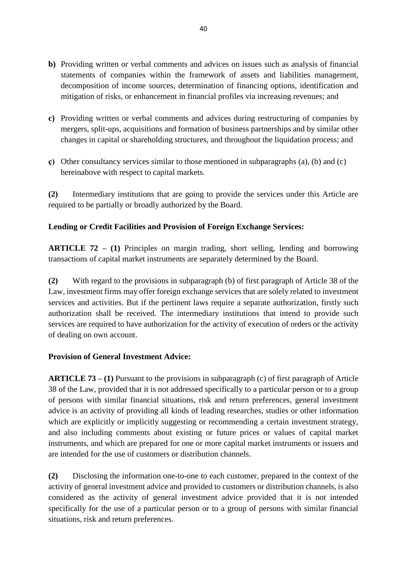- **b)** Providing written or verbal comments and advices on issues such as analysis of financial statements of companies within the framework of assets and liabilities management, decomposition of income sources, determination of financing options, identification and mitigation of risks, or enhancement in financial profiles via increasing revenues; and
- **c)** Providing written or verbal comments and advices during restructuring of companies by mergers, split-ups, acquisitions and formation of business partnerships and by similar other changes in capital or shareholding structures, and throughout the liquidation process; and
- **ç)** Other consultancy services similar to those mentioned in subparagraphs (a), (b) and (c) hereinabove with respect to capital markets.

**(2)** Intermediary institutions that are going to provide the services under this Article are required to be partially or broadly authorized by the Board.

## **Lending or Credit Facilities and Provision of Foreign Exchange Services:**

**ARTICLE 72 – (1)** Principles on margin trading, short selling, lending and borrowing transactions of capital market instruments are separately determined by the Board.

**(2)** With regard to the provisions in subparagraph (b) of first paragraph of Article 38 of the Law, investment firms may offer foreign exchange services that are solely related to investment services and activities. But if the pertinent laws require a separate authorization, firstly such authorization shall be received. The intermediary institutions that intend to provide such services are required to have authorization for the activity of execution of orders or the activity of dealing on own account.

### **Provision of General Investment Advice:**

**ARTICLE 73 – (1)** Pursuant to the provisions in subparagraph (c) of first paragraph of Article 38 of the Law, provided that it is not addressed specifically to a particular person or to a group of persons with similar financial situations, risk and return preferences, general investment advice is an activity of providing all kinds of leading researches, studies or other information which are explicitly or implicitly suggesting or recommending a certain investment strategy, and also including comments about existing or future prices or values of capital market instruments, and which are prepared for one or more capital market instruments or issuers and are intended for the use of customers or distribution channels.

**(2)** Disclosing the information one-to-one to each customer, prepared in the context of the activity of general investment advice and provided to customers or distribution channels, is also considered as the activity of general investment advice provided that it is not intended specifically for the use of a particular person or to a group of persons with similar financial situations, risk and return preferences.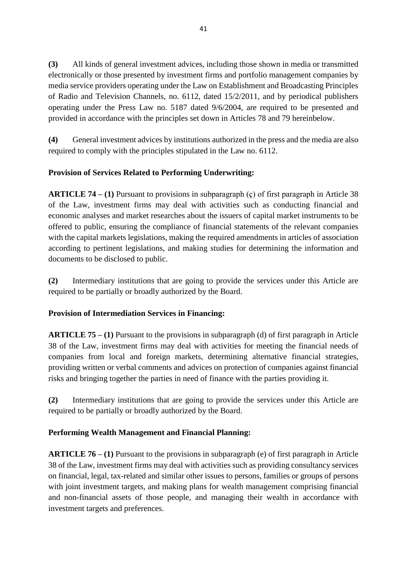**(3)** All kinds of general investment advices, including those shown in media or transmitted electronically or those presented by investment firms and portfolio management companies by media service providers operating under the Law on Establishment and Broadcasting Principles of Radio and Television Channels, no. 6112, dated 15/2/2011, and by periodical publishers operating under the Press Law no. 5187 dated 9/6/2004, are required to be presented and provided in accordance with the principles set down in Articles 78 and 79 hereinbelow.

**(4)** General investment advices by institutions authorized in the press and the media are also required to comply with the principles stipulated in the Law no. 6112.

# **Provision of Services Related to Performing Underwriting:**

**ARTICLE 74 – (1)** Pursuant to provisions in subparagraph (ç) of first paragraph in Article 38 of the Law, investment firms may deal with activities such as conducting financial and economic analyses and market researches about the issuers of capital market instruments to be offered to public, ensuring the compliance of financial statements of the relevant companies with the capital markets legislations, making the required amendments in articles of association according to pertinent legislations, and making studies for determining the information and documents to be disclosed to public.

**(2)** Intermediary institutions that are going to provide the services under this Article are required to be partially or broadly authorized by the Board.

## **Provision of Intermediation Services in Financing:**

**ARTICLE 75 – (1)** Pursuant to the provisions in subparagraph (d) of first paragraph in Article 38 of the Law, investment firms may deal with activities for meeting the financial needs of companies from local and foreign markets, determining alternative financial strategies, providing written or verbal comments and advices on protection of companies against financial risks and bringing together the parties in need of finance with the parties providing it.

**(2)** Intermediary institutions that are going to provide the services under this Article are required to be partially or broadly authorized by the Board.

## **Performing Wealth Management and Financial Planning:**

**ARTICLE 76 – (1)** Pursuant to the provisions in subparagraph (e) of first paragraph in Article 38 of the Law, investment firms may deal with activities such as providing consultancy services on financial, legal, tax-related and similar other issues to persons, families or groups of persons with joint investment targets, and making plans for wealth management comprising financial and non-financial assets of those people, and managing their wealth in accordance with investment targets and preferences.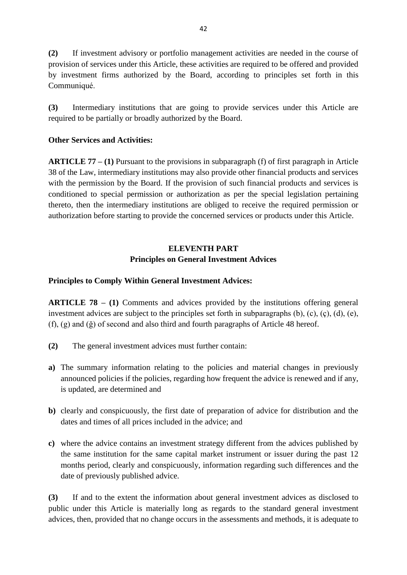**(2)** If investment advisory or portfolio management activities are needed in the course of provision of services under this Article, these activities are required to be offered and provided by investment firms authorized by the Board, according to principles set forth in this Communiqué.

**(3)** Intermediary institutions that are going to provide services under this Article are required to be partially or broadly authorized by the Board.

### **Other Services and Activities:**

**ARTICLE 77 – (1)** Pursuant to the provisions in subparagraph (f) of first paragraph in Article 38 of the Law, intermediary institutions may also provide other financial products and services with the permission by the Board. If the provision of such financial products and services is conditioned to special permission or authorization as per the special legislation pertaining thereto, then the intermediary institutions are obliged to receive the required permission or authorization before starting to provide the concerned services or products under this Article.

# **ELEVENTH PART Principles on General Investment Advices**

### **Principles to Comply Within General Investment Advices:**

**ARTICLE 78 – (1)** Comments and advices provided by the institutions offering general investment advices are subject to the principles set forth in subparagraphs (b), (c), (ç), (d), (e), (f), (g) and (ğ) of second and also third and fourth paragraphs of Article 48 hereof.

- **(2)** The general investment advices must further contain:
- **a)** The summary information relating to the policies and material changes in previously announced policies if the policies, regarding how frequent the advice is renewed and if any, is updated, are determined and
- **b)** clearly and conspicuously, the first date of preparation of advice for distribution and the dates and times of all prices included in the advice; and
- **c)** where the advice contains an investment strategy different from the advices published by the same institution for the same capital market instrument or issuer during the past 12 months period, clearly and conspicuously, information regarding such differences and the date of previously published advice.

**(3)** If and to the extent the information about general investment advices as disclosed to public under this Article is materially long as regards to the standard general investment advices, then, provided that no change occurs in the assessments and methods, it is adequate to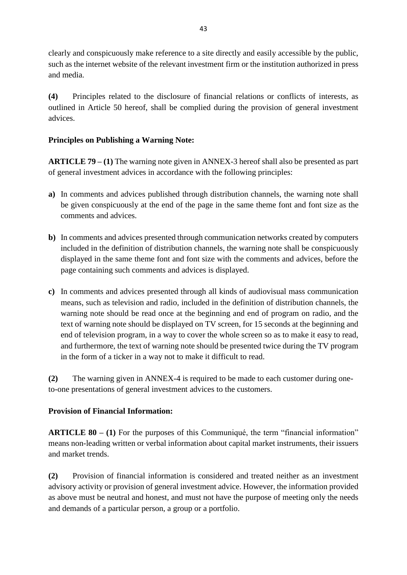clearly and conspicuously make reference to a site directly and easily accessible by the public, such as the internet website of the relevant investment firm or the institution authorized in press and media.

**(4)** Principles related to the disclosure of financial relations or conflicts of interests, as outlined in Article 50 hereof, shall be complied during the provision of general investment advices.

## **Principles on Publishing a Warning Note:**

**ARTICLE 79 – (1)** The warning note given in ANNEX-3 hereof shall also be presented as part of general investment advices in accordance with the following principles:

- **a)** In comments and advices published through distribution channels, the warning note shall be given conspicuously at the end of the page in the same theme font and font size as the comments and advices.
- **b)** In comments and advices presented through communication networks created by computers included in the definition of distribution channels, the warning note shall be conspicuously displayed in the same theme font and font size with the comments and advices, before the page containing such comments and advices is displayed.
- **c)** In comments and advices presented through all kinds of audiovisual mass communication means, such as television and radio, included in the definition of distribution channels, the warning note should be read once at the beginning and end of program on radio, and the text of warning note should be displayed on TV screen, for 15 seconds at the beginning and end of television program, in a way to cover the whole screen so as to make it easy to read, and furthermore, the text of warning note should be presented twice during the TV program in the form of a ticker in a way not to make it difficult to read.

**(2)** The warning given in ANNEX-4 is required to be made to each customer during oneto-one presentations of general investment advices to the customers.

## **Provision of Financial Information:**

**ARTICLE 80 – (1)** For the purposes of this Communiqué, the term "financial information" means non-leading written or verbal information about capital market instruments, their issuers and market trends.

**(2)** Provision of financial information is considered and treated neither as an investment advisory activity or provision of general investment advice. However, the information provided as above must be neutral and honest, and must not have the purpose of meeting only the needs and demands of a particular person, a group or a portfolio.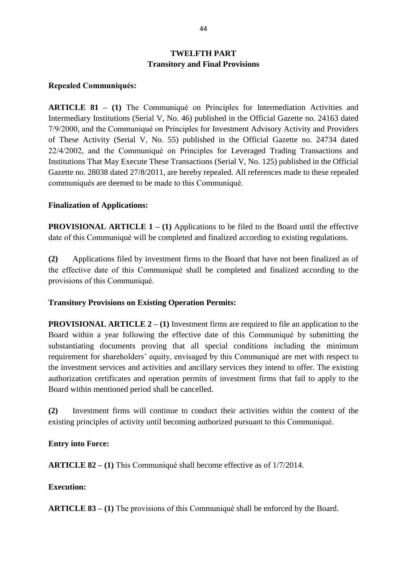## **TWELFTH PART Transitory and Final Provisions**

#### **Repealed Communiqués:**

**ARTICLE 81 – (1)** The Communiqué on Principles for Intermediation Activities and Intermediary Institutions (Serial V, No. 46) published in the Official Gazette no. 24163 dated 7/9/2000, and the Communiqué on Principles for Investment Advisory Activity and Providers of These Activity (Serial V, No. 55) published in the Official Gazette no. 24734 dated 22/4/2002, and the Communiqué on Principles for Leveraged Trading Transactions and Institutions That May Execute These Transactions (Serial V, No. 125) published in the Official Gazette no. 28038 dated 27/8/2011, are hereby repealed. All references made to these repealed communiqués are deemed to be made to this Communiqué.

#### **Finalization of Applications:**

**PROVISIONAL ARTICLE 1 – (1)** Applications to be filed to the Board until the effective date of this Communiqué will be completed and finalized according to existing regulations.

**(2)** Applications filed by investment firms to the Board that have not been finalized as of the effective date of this Communiqué shall be completed and finalized according to the provisions of this Communiqué.

### **Transitory Provisions on Existing Operation Permits:**

**PROVISIONAL ARTICLE 2 – (1)** Investment firms are required to file an application to the Board within a year following the effective date of this Communiqué by submitting the substantiating documents proving that all special conditions including the minimum requirement for shareholders' equity, envisaged by this Communiqué are met with respect to the investment services and activities and ancillary services they intend to offer. The existing authorization certificates and operation permits of investment firms that fail to apply to the Board within mentioned period shall be cancelled.

**(2)** Investment firms will continue to conduct their activities within the context of the existing principles of activity until becoming authorized pursuant to this Communiqué.

#### **Entry into Force:**

**ARTICLE 82 – (1)** This Communiqué shall become effective as of 1/7/2014.

#### **Execution:**

**ARTICLE 83 – (1)** The provisions of this Communiqué shall be enforced by the Board.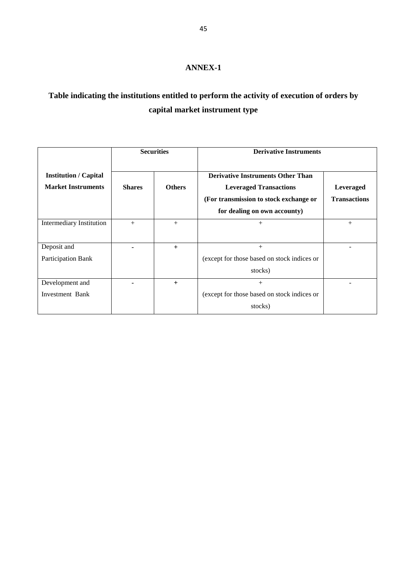# **Table indicating the institutions entitled to perform the activity of execution of orders by capital market instrument type**

|                                                           | <b>Securities</b> |               | <b>Derivative Instruments</b>                                                                                                                       |                                  |
|-----------------------------------------------------------|-------------------|---------------|-----------------------------------------------------------------------------------------------------------------------------------------------------|----------------------------------|
| <b>Institution / Capital</b><br><b>Market Instruments</b> | <b>Shares</b>     | <b>Others</b> | <b>Derivative Instruments Other Than</b><br><b>Leveraged Transactions</b><br>(For transmission to stock exchange or<br>for dealing on own accounty) | Leveraged<br><b>Transactions</b> |
| Intermediary Institution                                  | $^{+}$            | $^{+}$        | $+$                                                                                                                                                 | $+$                              |
| Deposit and<br>Participation Bank                         |                   | $+$           | $^{+}$<br>(except for those based on stock indices or<br>stocks)                                                                                    |                                  |
| Development and<br>Investment Bank                        |                   | $+$           | $^{+}$<br>(except for those based on stock indices or<br>stocks)                                                                                    |                                  |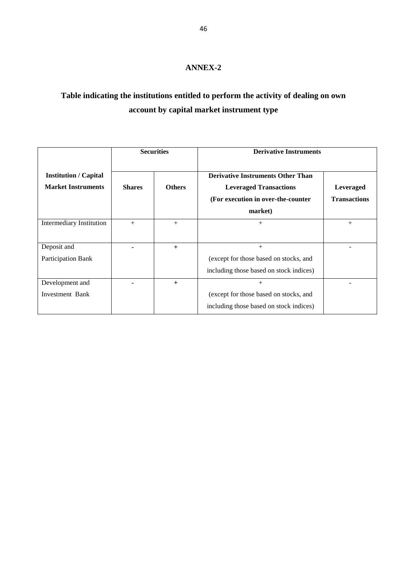# **Table indicating the institutions entitled to perform the activity of dealing on own account by capital market instrument type**

|                                                           | <b>Securities</b> |               | <b>Derivative Instruments</b>                                                                                               |                                  |
|-----------------------------------------------------------|-------------------|---------------|-----------------------------------------------------------------------------------------------------------------------------|----------------------------------|
| <b>Institution / Capital</b><br><b>Market Instruments</b> | <b>Shares</b>     | <b>Others</b> | <b>Derivative Instruments Other Than</b><br><b>Leveraged Transactions</b><br>(For execution in over-the-counter)<br>market) | Leveraged<br><b>Transactions</b> |
| Intermediary Institution                                  | $^{+}$            | $^{+}$        | $^{+}$                                                                                                                      | $+$                              |
|                                                           |                   |               |                                                                                                                             |                                  |
| Deposit and                                               |                   | $+$           | $^{+}$                                                                                                                      |                                  |
| <b>Participation Bank</b>                                 |                   |               | (except for those based on stocks, and                                                                                      |                                  |
|                                                           |                   |               | including those based on stock indices)                                                                                     |                                  |
| Development and                                           |                   | $+$           | $^+$                                                                                                                        |                                  |
| Investment Bank                                           |                   |               | (except for those based on stocks, and                                                                                      |                                  |
|                                                           |                   |               | including those based on stock indices)                                                                                     |                                  |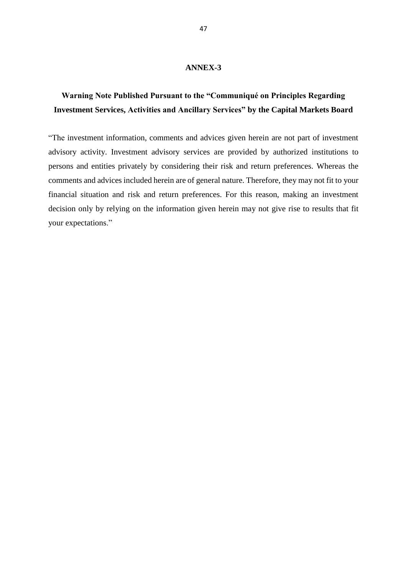# **Warning Note Published Pursuant to the "Communiqué on Principles Regarding Investment Services, Activities and Ancillary Services" by the Capital Markets Board**

"The investment information, comments and advices given herein are not part of investment advisory activity. Investment advisory services are provided by authorized institutions to persons and entities privately by considering their risk and return preferences. Whereas the comments and advices included herein are of general nature. Therefore, they may not fit to your financial situation and risk and return preferences. For this reason, making an investment decision only by relying on the information given herein may not give rise to results that fit your expectations."